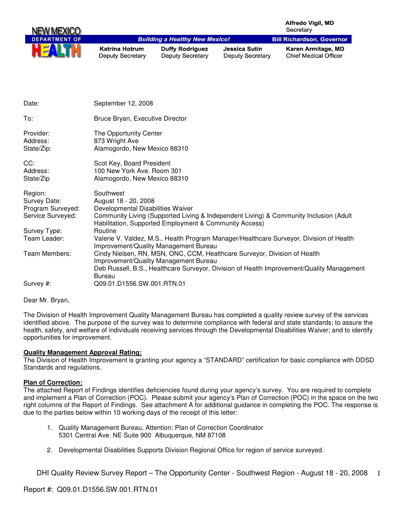| NEW MEXICO                                                        |                                                                                         |                                                        |                                                 | <b>Alfredo Vigil, MD</b><br>Secretary                                                 |
|-------------------------------------------------------------------|-----------------------------------------------------------------------------------------|--------------------------------------------------------|-------------------------------------------------|---------------------------------------------------------------------------------------|
| <b>DEPARTMENT OF</b>                                              |                                                                                         | <b>Building a Healthy New Mexico!</b>                  |                                                 | <b>Bill Richardson, Governor</b>                                                      |
| HE                                                                | <b>Katrina Hotrum</b><br><b>Deputy Secretary</b>                                        | <b>Duffy Rodriguez</b><br><b>Deputy Secretary</b>      | <b>Jessica Sutin</b><br><b>Deputy Secretary</b> | Karen Armitage, MD<br><b>Chief Medical Officer</b>                                    |
|                                                                   |                                                                                         |                                                        |                                                 |                                                                                       |
| Date:                                                             | September 12, 2008                                                                      |                                                        |                                                 |                                                                                       |
| To:                                                               | Bruce Bryan, Executive Director                                                         |                                                        |                                                 |                                                                                       |
| Provider:<br>Address:<br>State/Zip:                               | The Opportunity Center<br>873 Wright Ave<br>Alamogordo, New Mexico 88310                |                                                        |                                                 |                                                                                       |
| CC:<br>Address:<br>State/Zip                                      | Scot Key, Board President<br>100 New York Ave. Room 301<br>Alamogordo, New Mexico 88310 |                                                        |                                                 |                                                                                       |
| Region:<br>Survey Date:<br>Program Surveyed:<br>Service Surveyed: | Southwest<br>August 18 - 20, 2008<br>Developmental Disabilities Waiver                  | Habilitation, Supported Employment & Community Access) |                                                 | Community Living (Supported Living & Independent Living) & Community Inclusion (Adult |

Team Leader: Valerie V. Valdez, M.S., Health Program Manager/Healthcare Surveyor, Division of Health

Improvement/Quality Management Bureau

Improvement/Quality Management Bureau

Team Members: Cindy Nielsen, RN, MSN, ONC, CCM, Healthcare Surveyor, Division of Health

The Division of Health Improvement Quality Management Bureau has completed a quality review survey of the services identified above. The purpose of the survey was to determine compliance with federal and state standards; to assure the health, safety, and welfare of individuals receiving services through the Developmental Disabilities Waiver; and to identify opportunities for improvement.

Deb Russell, B.S., Healthcare Surveyor, Division of Health Improvement/Quality Management

#### **Quality Management Approval Rating:**

Bureau Survey #: Q09.01.D1556.SW.001.RTN.01

Survey Type: Routine

The Division of Health Improvement is granting your agency a "STANDARD" certification for basic compliance with DDSD Standards and regulations.

#### **Plan of Correction:**

Dear Mr. Bryan,

The attached Report of Findings identifies deficiencies found during your agency's survey. You are required to complete and implement a Plan of Correction (POC). Please submit your agency's Plan of Correction (POC) in the space on the two right columns of the Report of Findings. See attachment A for additional guidance in completing the POC. The response is due to the parties below within 10 working days of the receipt of this letter:

- 1. Quality Management Bureau, Attention: Plan of Correction Coordinator 5301 Central Ave. NE Suite 900 Albuquerque, NM 87108
- 2. Developmental Disabilities Supports Division Regional Office for region of service surveyed.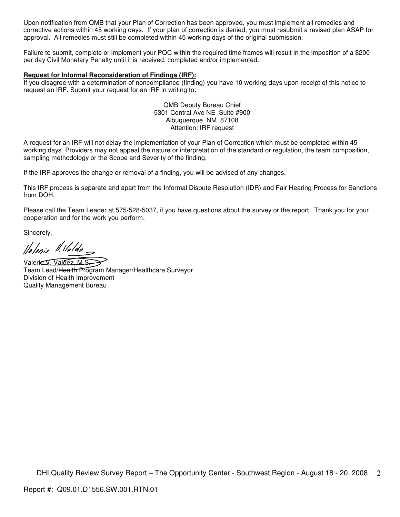Upon notification from QMB that your Plan of Correction has been approved, you must implement all remedies and corrective actions within 45 working days. If your plan of correction is denied, you must resubmit a revised plan ASAP for approval. All remedies must still be completed within 45 working days of the original submission.

Failure to submit, complete or implement your POC within the required time frames will result in the imposition of a \$200 per day Civil Monetary Penalty until it is received, completed and/or implemented.

#### **Request for Informal Reconsideration of Findings (IRF):**

If you disagree with a determination of noncompliance (finding) you have 10 working days upon receipt of this notice to request an IRF. Submit your request for an IRF in writing to:

> QMB Deputy Bureau Chief 5301 Central Ave NE Suite #900 Albuquerque, NM 87108 Attention: IRF request

A request for an IRF will not delay the implementation of your Plan of Correction which must be completed within 45 working days. Providers may not appeal the nature or interpretation of the standard or regulation, the team composition, sampling methodology or the Scope and Severity of the finding.

If the IRF approves the change or removal of a finding, you will be advised of any changes.

This IRF process is separate and apart from the Informal Dispute Resolution (IDR) and Fair Hearing Process for Sanctions from DOH.

Please call the Team Leader at 575-528-5037, if you have questions about the survey or the report. Thank you for your cooperation and for the work you perform.

Sincerely,

llalenis 11. Maldo-

Valerie V. Valdez, M.S.

Team Lead/Health Program Manager/Healthcare Surveyor Division of Health Improvement Quality Management Bureau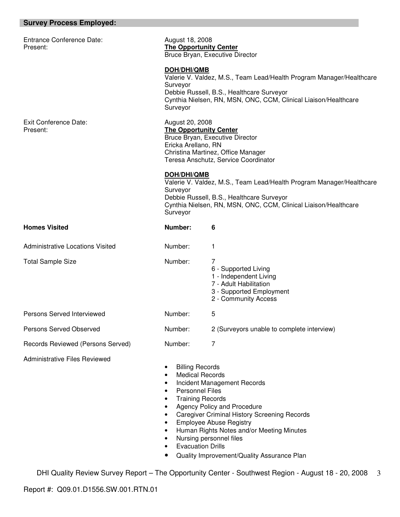| <b>Survey Process Employed:</b>              |                                                                                                                                                                                                                                                                                                                                                                                                                                |                                                                                                                                                                                      |  |
|----------------------------------------------|--------------------------------------------------------------------------------------------------------------------------------------------------------------------------------------------------------------------------------------------------------------------------------------------------------------------------------------------------------------------------------------------------------------------------------|--------------------------------------------------------------------------------------------------------------------------------------------------------------------------------------|--|
| <b>Entrance Conference Date:</b><br>Present: |                                                                                                                                                                                                                                                                                                                                                                                                                                | August 18, 2008<br><b>The Opportunity Center</b><br>Bruce Bryan, Executive Director                                                                                                  |  |
|                                              | DOH/DHI/QMB<br>Surveyor<br>Surveyor                                                                                                                                                                                                                                                                                                                                                                                            | Valerie V. Valdez, M.S., Team Lead/Health Program Manager/Healthcare<br>Debbie Russell, B.S., Healthcare Surveyor<br>Cynthia Nielsen, RN, MSN, ONC, CCM, Clinical Liaison/Healthcare |  |
| <b>Exit Conference Date:</b><br>Present:     | August 20, 2008<br><b>The Opportunity Center</b><br>Ericka Arellano, RN                                                                                                                                                                                                                                                                                                                                                        | Bruce Bryan, Executive Director<br>Christina Martinez, Office Manager<br>Teresa Anschutz, Service Coordinator                                                                        |  |
|                                              | DOH/DHI/QMB<br>Surveyor<br>Surveyor                                                                                                                                                                                                                                                                                                                                                                                            | Valerie V. Valdez, M.S., Team Lead/Health Program Manager/Healthcare<br>Debbie Russell, B.S., Healthcare Surveyor<br>Cynthia Nielsen, RN, MSN, ONC, CCM, Clinical Liaison/Healthcare |  |
| <b>Homes Visited</b>                         | Number:                                                                                                                                                                                                                                                                                                                                                                                                                        | 6                                                                                                                                                                                    |  |
| <b>Administrative Locations Visited</b>      | Number:                                                                                                                                                                                                                                                                                                                                                                                                                        | 1                                                                                                                                                                                    |  |
| <b>Total Sample Size</b>                     | Number:                                                                                                                                                                                                                                                                                                                                                                                                                        | 7<br>6 - Supported Living<br>1 - Independent Living<br>7 - Adult Habilitation<br>3 - Supported Employment<br>2 - Community Access                                                    |  |
| Persons Served Interviewed                   | Number:                                                                                                                                                                                                                                                                                                                                                                                                                        | 5                                                                                                                                                                                    |  |
| Persons Served Observed                      | Number:                                                                                                                                                                                                                                                                                                                                                                                                                        | 2 (Surveyors unable to complete interview)                                                                                                                                           |  |
| Records Reviewed (Persons Served)            | Number:                                                                                                                                                                                                                                                                                                                                                                                                                        | 7                                                                                                                                                                                    |  |
| <b>Administrative Files Reviewed</b>         | <b>Billing Records</b><br><b>Medical Records</b><br>$\bullet$<br>Incident Management Records<br>٠<br><b>Personnel Files</b><br>$\bullet$<br><b>Training Records</b><br>٠<br>Agency Policy and Procedure<br>$\bullet$<br><b>Caregiver Criminal History Screening Records</b><br>$\bullet$<br><b>Employee Abuse Registry</b><br>Human Rights Notes and/or Meeting Minutes<br>Nursing personnel files<br><b>Evacuation Drills</b> |                                                                                                                                                                                      |  |

• Quality Improvement/Quality Assurance Plan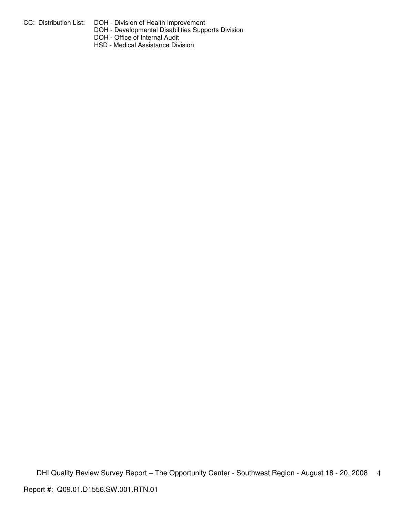- CC: Distribution List: DOH Division of Health Improvement
	- DOH Developmental Disabilities Supports Division
	- DOH Office of Internal Audit
	- HSD Medical Assistance Division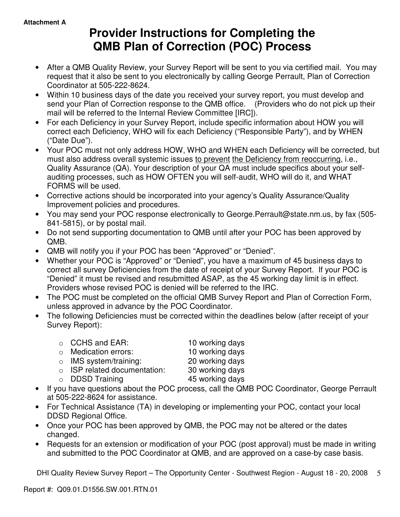# **Provider Instructions for Completing the QMB Plan of Correction (POC) Process**

- After a QMB Quality Review, your Survey Report will be sent to you via certified mail. You may request that it also be sent to you electronically by calling George Perrault, Plan of Correction Coordinator at 505-222-8624.
- Within 10 business days of the date you received your survey report, you must develop and send your Plan of Correction response to the QMB office. (Providers who do not pick up their mail will be referred to the Internal Review Committee [IRC]).
- For each Deficiency in your Survey Report, include specific information about HOW you will correct each Deficiency, WHO will fix each Deficiency ("Responsible Party"), and by WHEN ("Date Due").
- Your POC must not only address HOW, WHO and WHEN each Deficiency will be corrected, but must also address overall systemic issues to prevent the Deficiency from reoccurring, i.e., Quality Assurance (QA). Your description of your QA must include specifics about your selfauditing processes, such as HOW OFTEN you will self-audit, WHO will do it, and WHAT FORMS will be used.
- Corrective actions should be incorporated into your agency's Quality Assurance/Quality Improvement policies and procedures.
- You may send your POC response electronically to George.Perrault@state.nm.us, by fax (505- 841-5815), or by postal mail.
- Do not send supporting documentation to QMB until after your POC has been approved by QMB.
- QMB will notify you if your POC has been "Approved" or "Denied".
- Whether your POC is "Approved" or "Denied", you have a maximum of 45 business days to correct all survey Deficiencies from the date of receipt of your Survey Report. If your POC is "Denied" it must be revised and resubmitted ASAP, as the 45 working day limit is in effect. Providers whose revised POC is denied will be referred to the IRC.
- The POC must be completed on the official QMB Survey Report and Plan of Correction Form, unless approved in advance by the POC Coordinator.
- The following Deficiencies must be corrected within the deadlines below (after receipt of your Survey Report):

| $\circ$ CCHS and EAR:              | 10 working days |
|------------------------------------|-----------------|
| $\circ$ Medication errors:         | 10 working days |
| $\circ$ IMS system/training:       | 20 working days |
| $\circ$ ISP related documentation: | 30 working days |
| $\circ$ DDSD Training              | 45 working days |
|                                    |                 |

- If you have questions about the POC process, call the QMB POC Coordinator, George Perrault at 505-222-8624 for assistance.
- For Technical Assistance (TA) in developing or implementing your POC, contact your local DDSD Regional Office.
- Once your POC has been approved by QMB, the POC may not be altered or the dates changed.
- Requests for an extension or modification of your POC (post approval) must be made in writing and submitted to the POC Coordinator at QMB, and are approved on a case-by case basis.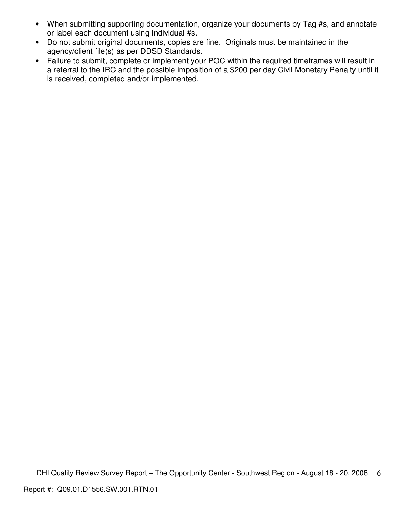- When submitting supporting documentation, organize your documents by Tag #s, and annotate or label each document using Individual #s.
- Do not submit original documents, copies are fine. Originals must be maintained in the agency/client file(s) as per DDSD Standards.
- Failure to submit, complete or implement your POC within the required timeframes will result in a referral to the IRC and the possible imposition of a \$200 per day Civil Monetary Penalty until it is received, completed and/or implemented.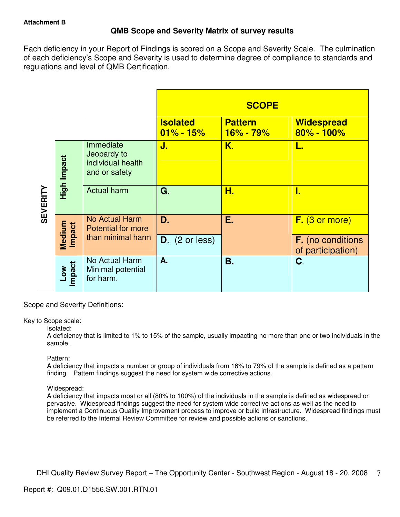## **QMB Scope and Severity Matrix of survey results**

Each deficiency in your Report of Findings is scored on a Scope and Severity Scale. The culmination of each deficiency's Scope and Severity is used to determine degree of compliance to standards and regulations and level of QMB Certification.

|                 |                           |                                                                |                                  | <b>SCOPE</b>                  |                                               |
|-----------------|---------------------------|----------------------------------------------------------------|----------------------------------|-------------------------------|-----------------------------------------------|
|                 |                           |                                                                | <b>Isolated</b><br>$01\% - 15\%$ | <b>Pattern</b><br>$16% - 79%$ | <b>Widespread</b><br>$80\% - 100\%$           |
|                 | High Impact               | Immediate<br>Jeopardy to<br>individual health<br>and or safety | J.                               | K.                            | L.                                            |
| <b>SEVERITY</b> |                           | <b>Actual harm</b>                                             | G.                               | Н.                            | I.                                            |
|                 | Medium<br>Impact          | <b>No Actual Harm</b><br><b>Potential for more</b>             | D.                               | Е.                            | $F.$ (3 or more)                              |
|                 |                           | than minimal harm                                              | $D.$ (2 or less)                 |                               | <b>F.</b> (no conditions<br>of participation) |
|                 | Impact<br>NO <sub>-</sub> | No Actual Harm<br>Minimal potential<br>for harm.               | A.                               | <b>B.</b>                     | C.                                            |

Scope and Severity Definitions:

## Key to Scope scale:

## Isolated:

A deficiency that is limited to 1% to 15% of the sample, usually impacting no more than one or two individuals in the sample.

## Pattern:

A deficiency that impacts a number or group of individuals from 16% to 79% of the sample is defined as a pattern finding. Pattern findings suggest the need for system wide corrective actions.

## Widespread:

A deficiency that impacts most or all (80% to 100%) of the individuals in the sample is defined as widespread or pervasive. Widespread findings suggest the need for system wide corrective actions as well as the need to implement a Continuous Quality Improvement process to improve or build infrastructure. Widespread findings must be referred to the Internal Review Committee for review and possible actions or sanctions.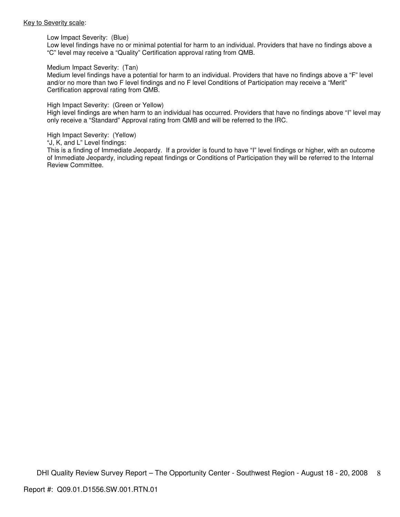#### Key to Severity scale:

Low Impact Severity: (Blue)

Low level findings have no or minimal potential for harm to an individual. Providers that have no findings above a "C" level may receive a "Quality" Certification approval rating from QMB.

#### Medium Impact Severity: (Tan)

Medium level findings have a potential for harm to an individual. Providers that have no findings above a "F" level and/or no more than two F level findings and no F level Conditions of Participation may receive a "Merit" Certification approval rating from QMB.

#### High Impact Severity: (Green or Yellow)

High level findings are when harm to an individual has occurred. Providers that have no findings above "I" level may only receive a "Standard" Approval rating from QMB and will be referred to the IRC.

#### High Impact Severity: (Yellow)

"J, K, and L" Level findings:

This is a finding of Immediate Jeopardy. If a provider is found to have "I" level findings or higher, with an outcome of Immediate Jeopardy, including repeat findings or Conditions of Participation they will be referred to the Internal Review Committee.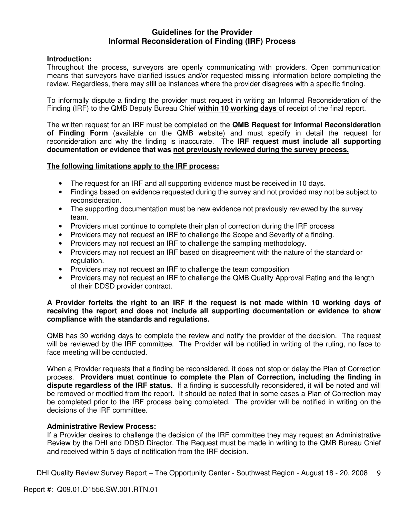## **Guidelines for the Provider Informal Reconsideration of Finding (IRF) Process**

## **Introduction:**

Throughout the process, surveyors are openly communicating with providers. Open communication means that surveyors have clarified issues and/or requested missing information before completing the review. Regardless, there may still be instances where the provider disagrees with a specific finding.

To informally dispute a finding the provider must request in writing an Informal Reconsideration of the Finding (IRF) to the QMB Deputy Bureau Chief **within 10 working days** of receipt of the final report.

The written request for an IRF must be completed on the **QMB Request for Informal Reconsideration of Finding Form** (available on the QMB website) and must specify in detail the request for reconsideration and why the finding is inaccurate. The **IRF request must include all supporting documentation or evidence that was not previously reviewed during the survey process.** 

## **The following limitations apply to the IRF process:**

- The request for an IRF and all supporting evidence must be received in 10 days.
- Findings based on evidence requested during the survey and not provided may not be subject to reconsideration.
- The supporting documentation must be new evidence not previously reviewed by the survey team.
- Providers must continue to complete their plan of correction during the IRF process
- Providers may not request an IRF to challenge the Scope and Severity of a finding.
- Providers may not request an IRF to challenge the sampling methodology.
- Providers may not request an IRF based on disagreement with the nature of the standard or regulation.
- Providers may not request an IRF to challenge the team composition
- Providers may not request an IRF to challenge the QMB Quality Approval Rating and the length of their DDSD provider contract.

## **A Provider forfeits the right to an IRF if the request is not made within 10 working days of receiving the report and does not include all supporting documentation or evidence to show compliance with the standards and regulations.**

QMB has 30 working days to complete the review and notify the provider of the decision. The request will be reviewed by the IRF committee. The Provider will be notified in writing of the ruling, no face to face meeting will be conducted.

When a Provider requests that a finding be reconsidered, it does not stop or delay the Plan of Correction process. **Providers must continue to complete the Plan of Correction, including the finding in dispute regardless of the IRF status.** If a finding is successfully reconsidered, it will be noted and will be removed or modified from the report. It should be noted that in some cases a Plan of Correction may be completed prior to the IRF process being completed. The provider will be notified in writing on the decisions of the IRF committee.

## **Administrative Review Process:**

If a Provider desires to challenge the decision of the IRF committee they may request an Administrative Review by the DHI and DDSD Director. The Request must be made in writing to the QMB Bureau Chief and received within 5 days of notification from the IRF decision.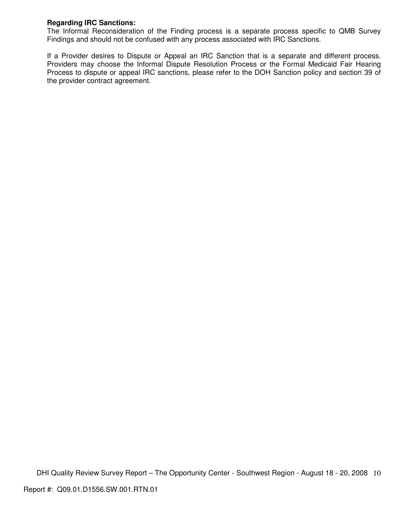## **Regarding IRC Sanctions:**

The Informal Reconsideration of the Finding process is a separate process specific to QMB Survey Findings and should not be confused with any process associated with IRC Sanctions.

If a Provider desires to Dispute or Appeal an IRC Sanction that is a separate and different process. Providers may choose the Informal Dispute Resolution Process or the Formal Medicaid Fair Hearing Process to dispute or appeal IRC sanctions, please refer to the DOH Sanction policy and section 39 of the provider contract agreement.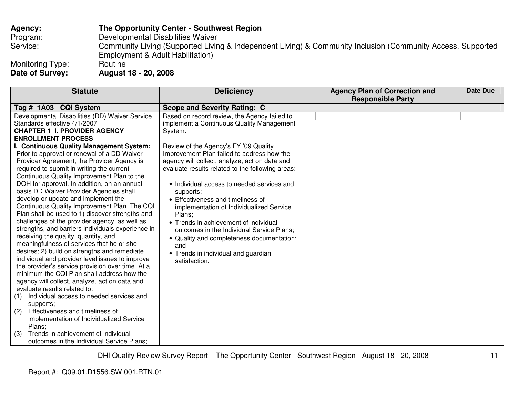## **Agency: The Opportunity Center - Southwest Region**Program: Developmental Disabilities Waiver Service: Community Living (Supported Living & Independent Living) & Community Inclusion (Community Access, Supported Employment & Adult Habilitation)

Monitoring Type:<br>Date of Survey:

**Date of Survey: August 18 - 20, 2008** 

| <b>Statute</b>                                    | <b>Deficiency</b>                                | <b>Agency Plan of Correction and</b> | <b>Date Due</b> |
|---------------------------------------------------|--------------------------------------------------|--------------------------------------|-----------------|
|                                                   |                                                  | <b>Responsible Party</b>             |                 |
| Tag # 1A03 CQI System                             | <b>Scope and Severity Rating: C</b>              |                                      |                 |
| Developmental Disabilities (DD) Waiver Service    | Based on record review, the Agency failed to     |                                      |                 |
| Standards effective 4/1/2007                      | implement a Continuous Quality Management        |                                      |                 |
| <b>CHAPTER 1 I. PROVIDER AGENCY</b>               | System.                                          |                                      |                 |
| <b>ENROLLMENT PROCESS</b>                         |                                                  |                                      |                 |
| I. Continuous Quality Management System:          | Review of the Agency's FY '09 Quality            |                                      |                 |
| Prior to approval or renewal of a DD Waiver       | Improvement Plan failed to address how the       |                                      |                 |
| Provider Agreement, the Provider Agency is        | agency will collect, analyze, act on data and    |                                      |                 |
| required to submit in writing the current         | evaluate results related to the following areas: |                                      |                 |
| Continuous Quality Improvement Plan to the        |                                                  |                                      |                 |
| DOH for approval. In addition, on an annual       | • Individual access to needed services and       |                                      |                 |
| basis DD Waiver Provider Agencies shall           | supports;                                        |                                      |                 |
| develop or update and implement the               | • Effectiveness and timeliness of                |                                      |                 |
| Continuous Quality Improvement Plan. The CQI      | implementation of Individualized Service         |                                      |                 |
| Plan shall be used to 1) discover strengths and   | Plans;                                           |                                      |                 |
| challenges of the provider agency, as well as     | • Trends in achievement of individual            |                                      |                 |
| strengths, and barriers individuals experience in | outcomes in the Individual Service Plans;        |                                      |                 |
| receiving the quality, quantity, and              | • Quality and completeness documentation;        |                                      |                 |
| meaningfulness of services that he or she         | and                                              |                                      |                 |
| desires; 2) build on strengths and remediate      | • Trends in individual and guardian              |                                      |                 |
| individual and provider level issues to improve   | satisfaction.                                    |                                      |                 |
| the provider's service provision over time. At a  |                                                  |                                      |                 |
| minimum the CQI Plan shall address how the        |                                                  |                                      |                 |
| agency will collect, analyze, act on data and     |                                                  |                                      |                 |
| evaluate results related to:                      |                                                  |                                      |                 |
| Individual access to needed services and<br>(1)   |                                                  |                                      |                 |
| supports;                                         |                                                  |                                      |                 |
| Effectiveness and timeliness of<br>(2)            |                                                  |                                      |                 |
| implementation of Individualized Service          |                                                  |                                      |                 |
| Plans;                                            |                                                  |                                      |                 |
| Trends in achievement of individual<br>(3)        |                                                  |                                      |                 |
| outcomes in the Individual Service Plans;         |                                                  |                                      |                 |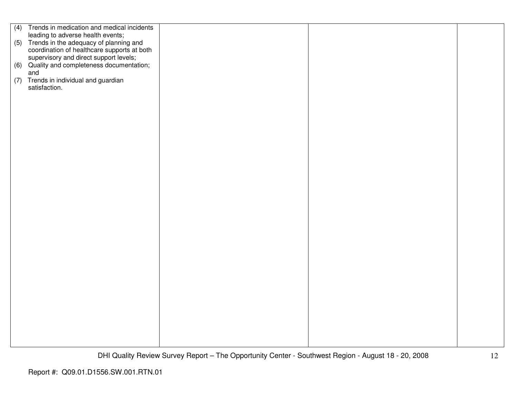|     | (4) Trends in medication and medical incidents                                                                                       |  |  |
|-----|--------------------------------------------------------------------------------------------------------------------------------------|--|--|
|     | leading to adverse health events;                                                                                                    |  |  |
|     | (5) Trends in the adequacy of planning and                                                                                           |  |  |
|     |                                                                                                                                      |  |  |
|     | coordination of healthcare supports at both<br>supervisory and direct support levels;<br>(6) Quality and completeness documentation; |  |  |
|     |                                                                                                                                      |  |  |
|     |                                                                                                                                      |  |  |
|     | and                                                                                                                                  |  |  |
|     |                                                                                                                                      |  |  |
| (7) | Trends in individual and guardian                                                                                                    |  |  |
|     | satisfaction.                                                                                                                        |  |  |
|     |                                                                                                                                      |  |  |
|     |                                                                                                                                      |  |  |
|     |                                                                                                                                      |  |  |
|     |                                                                                                                                      |  |  |
|     |                                                                                                                                      |  |  |
|     |                                                                                                                                      |  |  |
|     |                                                                                                                                      |  |  |
|     |                                                                                                                                      |  |  |
|     |                                                                                                                                      |  |  |
|     |                                                                                                                                      |  |  |
|     |                                                                                                                                      |  |  |
|     |                                                                                                                                      |  |  |
|     |                                                                                                                                      |  |  |
|     |                                                                                                                                      |  |  |
|     |                                                                                                                                      |  |  |
|     |                                                                                                                                      |  |  |
|     |                                                                                                                                      |  |  |
|     |                                                                                                                                      |  |  |
|     |                                                                                                                                      |  |  |
|     |                                                                                                                                      |  |  |
|     |                                                                                                                                      |  |  |
|     |                                                                                                                                      |  |  |
|     |                                                                                                                                      |  |  |
|     |                                                                                                                                      |  |  |
|     |                                                                                                                                      |  |  |
|     |                                                                                                                                      |  |  |
|     |                                                                                                                                      |  |  |
|     |                                                                                                                                      |  |  |
|     |                                                                                                                                      |  |  |
|     |                                                                                                                                      |  |  |
|     |                                                                                                                                      |  |  |
|     |                                                                                                                                      |  |  |
|     |                                                                                                                                      |  |  |
|     |                                                                                                                                      |  |  |
|     |                                                                                                                                      |  |  |
|     |                                                                                                                                      |  |  |
|     |                                                                                                                                      |  |  |
|     |                                                                                                                                      |  |  |
|     |                                                                                                                                      |  |  |
|     |                                                                                                                                      |  |  |
|     |                                                                                                                                      |  |  |
|     |                                                                                                                                      |  |  |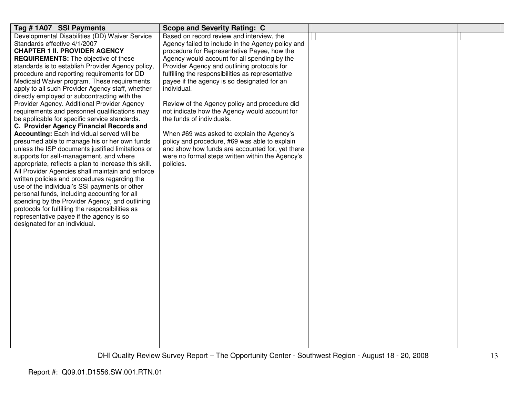| Tag #1A07 SSI Payments                               | <b>Scope and Severity Rating: C</b>               |  |
|------------------------------------------------------|---------------------------------------------------|--|
| Developmental Disabilities (DD) Waiver Service       | Based on record review and interview, the         |  |
| Standards effective 4/1/2007                         | Agency failed to include in the Agency policy and |  |
| <b>CHAPTER 1 II. PROVIDER AGENCY</b>                 | procedure for Representative Payee, how the       |  |
| <b>REQUIREMENTS:</b> The objective of these          | Agency would account for all spending by the      |  |
| standards is to establish Provider Agency policy,    | Provider Agency and outlining protocols for       |  |
| procedure and reporting requirements for DD          | fulfilling the responsibilities as representative |  |
| Medicaid Waiver program. These requirements          | payee if the agency is so designated for an       |  |
| apply to all such Provider Agency staff, whether     | individual.                                       |  |
| directly employed or subcontracting with the         |                                                   |  |
| Provider Agency. Additional Provider Agency          | Review of the Agency policy and procedure did     |  |
| requirements and personnel qualifications may        | not indicate how the Agency would account for     |  |
| be applicable for specific service standards.        | the funds of individuals.                         |  |
| C. Provider Agency Financial Records and             |                                                   |  |
| Accounting: Each individual served will be           | When #69 was asked to explain the Agency's        |  |
| presumed able to manage his or her own funds         | policy and procedure, #69 was able to explain     |  |
| unless the ISP documents justified limitations or    | and show how funds are accounted for, yet there   |  |
| supports for self-management, and where              | were no formal steps written within the Agency's  |  |
| appropriate, reflects a plan to increase this skill. | policies.                                         |  |
| All Provider Agencies shall maintain and enforce     |                                                   |  |
| written policies and procedures regarding the        |                                                   |  |
| use of the individual's SSI payments or other        |                                                   |  |
| personal funds, including accounting for all         |                                                   |  |
| spending by the Provider Agency, and outlining       |                                                   |  |
| protocols for fulfilling the responsibilities as     |                                                   |  |
| representative payee if the agency is so             |                                                   |  |
| designated for an individual.                        |                                                   |  |
|                                                      |                                                   |  |
|                                                      |                                                   |  |
|                                                      |                                                   |  |
|                                                      |                                                   |  |
|                                                      |                                                   |  |
|                                                      |                                                   |  |
|                                                      |                                                   |  |
|                                                      |                                                   |  |
|                                                      |                                                   |  |
|                                                      |                                                   |  |
|                                                      |                                                   |  |
|                                                      |                                                   |  |
|                                                      |                                                   |  |
|                                                      |                                                   |  |
|                                                      |                                                   |  |
|                                                      |                                                   |  |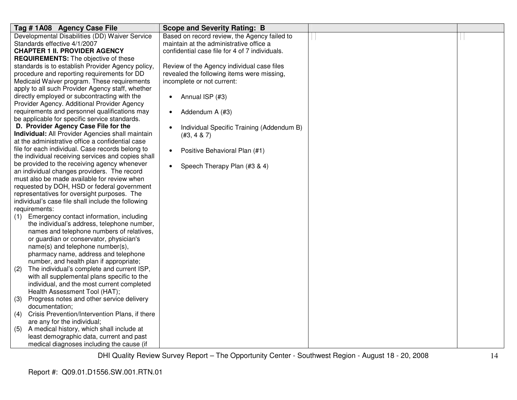| Tag #1A08 Agency Case File                                                                 | <b>Scope and Severity Rating: B</b>                    |  |
|--------------------------------------------------------------------------------------------|--------------------------------------------------------|--|
| Developmental Disabilities (DD) Waiver Service                                             | Based on record review, the Agency failed to           |  |
| Standards effective 4/1/2007                                                               | maintain at the administrative office a                |  |
| <b>CHAPTER 1 II. PROVIDER AGENCY</b>                                                       | confidential case file for 4 of 7 individuals.         |  |
| <b>REQUIREMENTS:</b> The objective of these                                                |                                                        |  |
| standards is to establish Provider Agency policy,                                          | Review of the Agency individual case files             |  |
| procedure and reporting requirements for DD                                                | revealed the following items were missing,             |  |
| Medicaid Waiver program. These requirements                                                | incomplete or not current:                             |  |
| apply to all such Provider Agency staff, whether                                           |                                                        |  |
| directly employed or subcontracting with the                                               | Annual ISP (#3)<br>٠                                   |  |
| Provider Agency. Additional Provider Agency                                                |                                                        |  |
| requirements and personnel qualifications may                                              | Addendum A (#3)<br>$\bullet$                           |  |
| be applicable for specific service standards.                                              |                                                        |  |
| D. Provider Agency Case File for the                                                       | Individual Specific Training (Addendum B)<br>$\bullet$ |  |
| Individual: All Provider Agencies shall maintain                                           | (#3, 4 & 7)                                            |  |
| at the administrative office a confidential case                                           |                                                        |  |
| file for each individual. Case records belong to                                           | Positive Behavioral Plan (#1)<br>$\bullet$             |  |
| the individual receiving services and copies shall                                         |                                                        |  |
| be provided to the receiving agency whenever                                               | Speech Therapy Plan (#3 & 4)<br>$\bullet$              |  |
| an individual changes providers. The record                                                |                                                        |  |
| must also be made available for review when                                                |                                                        |  |
| requested by DOH, HSD or federal government<br>representatives for oversight purposes. The |                                                        |  |
| individual's case file shall include the following                                         |                                                        |  |
| requirements:                                                                              |                                                        |  |
| Emergency contact information, including                                                   |                                                        |  |
| (1)<br>the individual's address, telephone number,                                         |                                                        |  |
| names and telephone numbers of relatives,                                                  |                                                        |  |
| or guardian or conservator, physician's                                                    |                                                        |  |
| name(s) and telephone number(s),                                                           |                                                        |  |
| pharmacy name, address and telephone                                                       |                                                        |  |
| number, and health plan if appropriate;                                                    |                                                        |  |
| The individual's complete and current ISP,<br>(2)                                          |                                                        |  |
| with all supplemental plans specific to the                                                |                                                        |  |
| individual, and the most current completed                                                 |                                                        |  |
| Health Assessment Tool (HAT);                                                              |                                                        |  |
| Progress notes and other service delivery<br>(3)                                           |                                                        |  |
| documentation;                                                                             |                                                        |  |
| Crisis Prevention/Intervention Plans, if there<br>(4)                                      |                                                        |  |
| are any for the individual;                                                                |                                                        |  |
| A medical history, which shall include at<br>(5)                                           |                                                        |  |
| least demographic data, current and past                                                   |                                                        |  |
| medical diagnoses including the cause (if                                                  |                                                        |  |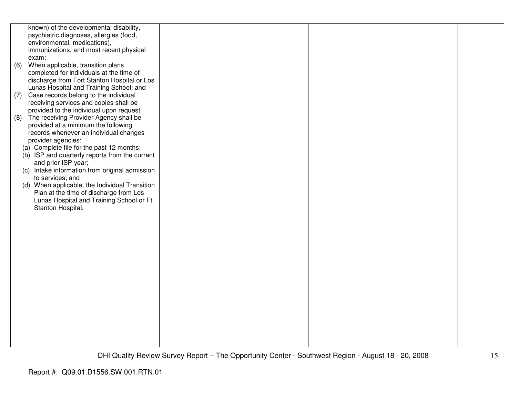|     | known) of the developmental disability,        |  |  |
|-----|------------------------------------------------|--|--|
|     | psychiatric diagnoses, allergies (food,        |  |  |
|     | environmental, medications),                   |  |  |
|     | immunizations, and most recent physical        |  |  |
|     | exam;                                          |  |  |
| (6) | When applicable, transition plans              |  |  |
|     | completed for individuals at the time of       |  |  |
|     | discharge from Fort Stanton Hospital or Los    |  |  |
|     | Lunas Hospital and Training School; and        |  |  |
| (7) | Case records belong to the individual          |  |  |
|     | receiving services and copies shall be         |  |  |
|     | provided to the individual upon request.       |  |  |
| (8) | The receiving Provider Agency shall be         |  |  |
|     | provided at a minimum the following            |  |  |
|     | records whenever an individual changes         |  |  |
|     | provider agencies:                             |  |  |
|     | (a) Complete file for the past 12 months;      |  |  |
|     | (b) ISP and quarterly reports from the current |  |  |
|     | and prior ISP year;                            |  |  |
|     | (c) Intake information from original admission |  |  |
|     | to services; and                               |  |  |
|     | (d) When applicable, the Individual Transition |  |  |
|     | Plan at the time of discharge from Los         |  |  |
|     | Lunas Hospital and Training School or Ft.      |  |  |
|     | Stanton Hospital.                              |  |  |
|     |                                                |  |  |
|     |                                                |  |  |
|     |                                                |  |  |
|     |                                                |  |  |
|     |                                                |  |  |
|     |                                                |  |  |
|     |                                                |  |  |
|     |                                                |  |  |
|     |                                                |  |  |
|     |                                                |  |  |
|     |                                                |  |  |
|     |                                                |  |  |
|     |                                                |  |  |
|     |                                                |  |  |
|     |                                                |  |  |
|     |                                                |  |  |
|     |                                                |  |  |
|     |                                                |  |  |
|     |                                                |  |  |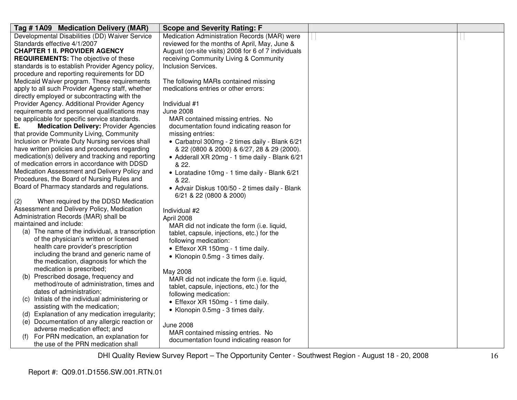| Tag # 1A09 Medication Delivery (MAR)                                                       | <b>Scope and Severity Rating: F</b>                 |  |
|--------------------------------------------------------------------------------------------|-----------------------------------------------------|--|
| Developmental Disabilities (DD) Waiver Service                                             | Medication Administration Records (MAR) were        |  |
| Standards effective 4/1/2007                                                               | reviewed for the months of April, May, June &       |  |
| <b>CHAPTER 1 II. PROVIDER AGENCY</b>                                                       | August (on-site visits) 2008 for 6 of 7 individuals |  |
| <b>REQUIREMENTS:</b> The objective of these                                                | receiving Community Living & Community              |  |
| standards is to establish Provider Agency policy,                                          | <b>Inclusion Services.</b>                          |  |
| procedure and reporting requirements for DD                                                |                                                     |  |
| Medicaid Waiver program. These requirements                                                | The following MARs contained missing                |  |
| apply to all such Provider Agency staff, whether                                           | medications entries or other errors:                |  |
| directly employed or subcontracting with the                                               |                                                     |  |
| Provider Agency. Additional Provider Agency                                                | Individual #1                                       |  |
| requirements and personnel qualifications may                                              | <b>June 2008</b>                                    |  |
| be applicable for specific service standards.                                              | MAR contained missing entries. No                   |  |
| <b>Medication Delivery: Provider Agencies</b><br>Е.                                        | documentation found indicating reason for           |  |
| that provide Community Living, Community                                                   | missing entries:                                    |  |
| Inclusion or Private Duty Nursing services shall                                           | • Carbatrol 300mg - 2 times daily - Blank 6/21      |  |
| have written policies and procedures regarding                                             | & 22 (0800 & 2000) & 6/27, 28 & 29 (2000).          |  |
| medication(s) delivery and tracking and reporting                                          | • Adderall XR 20mg - 1 time daily - Blank 6/21      |  |
| of medication errors in accordance with DDSD                                               | & 22.                                               |  |
| Medication Assessment and Delivery Policy and                                              | • Loratadine 10mg - 1 time daily - Blank 6/21       |  |
| Procedures, the Board of Nursing Rules and<br>Board of Pharmacy standards and regulations. | & 22.                                               |  |
|                                                                                            | • Advair Diskus 100/50 - 2 times daily - Blank      |  |
| When required by the DDSD Medication<br>(2)                                                | 6/21 & 22 (0800 & 2000)                             |  |
| Assessment and Delivery Policy, Medication                                                 | Individual #2                                       |  |
| Administration Records (MAR) shall be                                                      | April 2008                                          |  |
| maintained and include:                                                                    | MAR did not indicate the form (i.e. liquid,         |  |
| (a) The name of the individual, a transcription                                            | tablet, capsule, injections, etc.) for the          |  |
| of the physician's written or licensed                                                     | following medication:                               |  |
| health care provider's prescription                                                        | • Effexor XR 150mg - 1 time daily.                  |  |
| including the brand and generic name of                                                    | • Klonopin 0.5mg - 3 times daily.                   |  |
| the medication, diagnosis for which the                                                    |                                                     |  |
| medication is prescribed;                                                                  | May 2008                                            |  |
| (b) Prescribed dosage, frequency and                                                       | MAR did not indicate the form (i.e. liquid,         |  |
| method/route of administration, times and                                                  | tablet, capsule, injections, etc.) for the          |  |
| dates of administration;                                                                   | following medication:                               |  |
| (c) Initials of the individual administering or                                            | • Effexor XR 150mg - 1 time daily.                  |  |
| assisting with the medication;                                                             | • Klonopin 0.5mg - 3 times daily.                   |  |
| (d) Explanation of any medication irregularity;                                            |                                                     |  |
| (e) Documentation of any allergic reaction or                                              | <b>June 2008</b>                                    |  |
| adverse medication effect; and                                                             | MAR contained missing entries. No                   |  |
| For PRN medication, an explanation for                                                     | documentation found indicating reason for           |  |
| the use of the PRN medication shall                                                        |                                                     |  |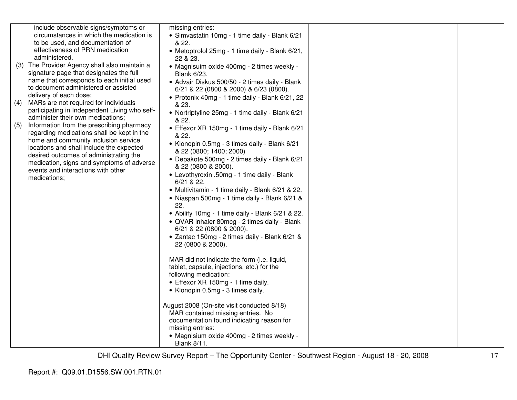|     | include observable signs/symptoms or                                               | missing entries:                                                                         |  |
|-----|------------------------------------------------------------------------------------|------------------------------------------------------------------------------------------|--|
|     | circumstances in which the medication is                                           | • Simvastatin 10mg - 1 time daily - Blank 6/21                                           |  |
|     | to be used, and documentation of                                                   | & 22.                                                                                    |  |
|     | effectiveness of PRN medication<br>administered.                                   | • Metoptrolol 25mg - 1 time daily - Blank 6/21,<br>22 & 23.                              |  |
|     | (3) The Provider Agency shall also maintain a                                      | • Magnisuim oxide 400mg - 2 times weekly -                                               |  |
|     | signature page that designates the full                                            | <b>Blank 6/23.</b>                                                                       |  |
|     | name that corresponds to each initial used<br>to document administered or assisted | • Advair Diskus 500/50 - 2 times daily - Blank<br>6/21 & 22 (0800 & 2000) & 6/23 (0800). |  |
|     | delivery of each dose;                                                             | • Protonix 40mg - 1 time daily - Blank 6/21, 22                                          |  |
| (4) | MARs are not required for individuals                                              | & 23.                                                                                    |  |
|     | participating in Independent Living who self-<br>administer their own medications; | • Nortriptyline 25mg - 1 time daily - Blank 6/21                                         |  |
| (5) | Information from the prescribing pharmacy                                          | & 22.                                                                                    |  |
|     | regarding medications shall be kept in the                                         | • Effexor XR 150mg - 1 time daily - Blank 6/21<br>& 22.                                  |  |
|     | home and community inclusion service<br>locations and shall include the expected   | • Klonopin 0.5mg - 3 times daily - Blank 6/21                                            |  |
|     | desired outcomes of administrating the                                             | & 22 (0800; 1400; 2000)                                                                  |  |
|     | medication, signs and symptoms of adverse                                          | • Depakote 500mg - 2 times daily - Blank 6/21<br>& 22 (0800 & 2000).                     |  |
|     | events and interactions with other                                                 | • Levothyroxin .50mg - 1 time daily - Blank                                              |  |
|     | medications;                                                                       | $6/21$ & 22.                                                                             |  |
|     |                                                                                    | • Multivitamin - 1 time daily - Blank 6/21 & 22.                                         |  |
|     |                                                                                    | · Niaspan 500mg - 1 time daily - Blank 6/21 &                                            |  |
|     |                                                                                    | 22.                                                                                      |  |
|     |                                                                                    | • Abilify 10mg - 1 time daily - Blank 6/21 & 22.                                         |  |
|     |                                                                                    | • QVAR inhaler 80mcg - 2 times daily - Blank                                             |  |
|     |                                                                                    | 6/21 & 22 (0800 & 2000).                                                                 |  |
|     |                                                                                    | • Zantac 150mg - 2 times daily - Blank 6/21 &                                            |  |
|     |                                                                                    | 22 (0800 & 2000).                                                                        |  |
|     |                                                                                    | MAR did not indicate the form (i.e. liquid,                                              |  |
|     |                                                                                    | tablet, capsule, injections, etc.) for the                                               |  |
|     |                                                                                    | following medication:                                                                    |  |
|     |                                                                                    | • Effexor XR 150mg - 1 time daily.                                                       |  |
|     |                                                                                    | • Klonopin 0.5mg - 3 times daily.                                                        |  |
|     |                                                                                    | August 2008 (On-site visit conducted 8/18)                                               |  |
|     |                                                                                    | MAR contained missing entries. No                                                        |  |
|     |                                                                                    | documentation found indicating reason for                                                |  |
|     |                                                                                    | missing entries:                                                                         |  |
|     |                                                                                    | • Magnisium oxide 400mg - 2 times weekly -                                               |  |
|     |                                                                                    | <b>Blank 8/11.</b>                                                                       |  |
|     |                                                                                    |                                                                                          |  |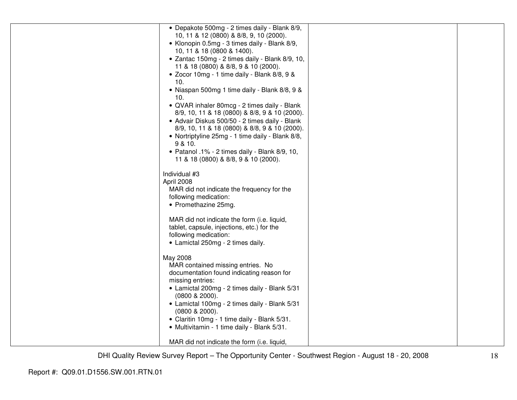| • Depakote 500mg - 2 times daily - Blank 8/9,                                        |  |
|--------------------------------------------------------------------------------------|--|
| 10, 11 & 12 (0800) & 8/8, 9, 10 (2000).                                              |  |
| • Klonopin 0.5mg - 3 times daily - Blank 8/9,                                        |  |
| 10, 11 & 18 (0800 & 1400).                                                           |  |
| · Zantac 150mg - 2 times daily - Blank 8/9, 10,                                      |  |
| 11 & 18 (0800) & 8/8, 9 & 10 (2000).<br>• Zocor 10mg - 1 time daily - Blank 8/8, 9 & |  |
| 10.                                                                                  |  |
| • Niaspan 500mg 1 time daily - Blank 8/8, 9 &                                        |  |
| 10.                                                                                  |  |
| • QVAR inhaler 80mcg - 2 times daily - Blank                                         |  |
| 8/9, 10, 11 & 18 (0800) & 8/8, 9 & 10 (2000).                                        |  |
| • Advair Diskus 500/50 - 2 times daily - Blank                                       |  |
| 8/9, 10, 11 & 18 (0800) & 8/8, 9 & 10 (2000).                                        |  |
| • Nortriptyline 25mg - 1 time daily - Blank 8/8,                                     |  |
| 9 & 10.                                                                              |  |
| · Patanol .1% - 2 times daily - Blank 8/9, 10,                                       |  |
| 11 & 18 (0800) & 8/8, 9 & 10 (2000).                                                 |  |
|                                                                                      |  |
| Individual #3                                                                        |  |
| April 2008                                                                           |  |
| MAR did not indicate the frequency for the<br>following medication:                  |  |
| • Promethazine 25mg.                                                                 |  |
|                                                                                      |  |
| MAR did not indicate the form (i.e. liquid,                                          |  |
| tablet, capsule, injections, etc.) for the                                           |  |
| following medication:                                                                |  |
| • Lamictal 250mg - 2 times daily.                                                    |  |
|                                                                                      |  |
| May 2008                                                                             |  |
| MAR contained missing entries. No                                                    |  |
| documentation found indicating reason for                                            |  |
| missing entries:                                                                     |  |
| • Lamictal 200mg - 2 times daily - Blank 5/31<br>$(0800 \& 2000)$ .                  |  |
| • Lamictal 100mg - 2 times daily - Blank 5/31                                        |  |
| (0800 & 2000).                                                                       |  |
| • Claritin 10mg - 1 time daily - Blank 5/31.                                         |  |
| • Multivitamin - 1 time daily - Blank 5/31.                                          |  |
|                                                                                      |  |
| MAR did not indicate the form (i.e. liquid,                                          |  |
|                                                                                      |  |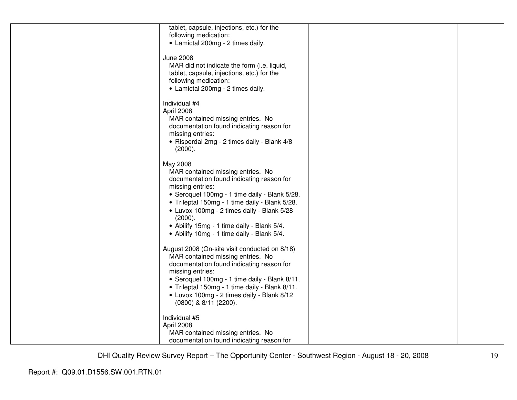| tablet, capsule, injections, etc.) for the     |  |
|------------------------------------------------|--|
| following medication:                          |  |
|                                                |  |
| • Lamictal 200mg - 2 times daily.              |  |
|                                                |  |
| <b>June 2008</b>                               |  |
| MAR did not indicate the form (i.e. liquid,    |  |
|                                                |  |
| tablet, capsule, injections, etc.) for the     |  |
| following medication:                          |  |
| • Lamictal 200mg - 2 times daily.              |  |
|                                                |  |
| Individual #4                                  |  |
|                                                |  |
| April 2008                                     |  |
| MAR contained missing entries. No              |  |
| documentation found indicating reason for      |  |
| missing entries:                               |  |
|                                                |  |
| · Risperdal 2mg - 2 times daily - Blank 4/8    |  |
| (2000).                                        |  |
|                                                |  |
| May 2008                                       |  |
| MAR contained missing entries. No              |  |
|                                                |  |
| documentation found indicating reason for      |  |
| missing entries:                               |  |
| • Seroquel 100mg - 1 time daily - Blank 5/28.  |  |
| • Trileptal 150mg - 1 time daily - Blank 5/28. |  |
|                                                |  |
| • Luvox 100mg - 2 times daily - Blank 5/28     |  |
| (2000).                                        |  |
| • Abilify 15mg - 1 time daily - Blank 5/4.     |  |
| • Abilify 10mg - 1 time daily - Blank 5/4.     |  |
|                                                |  |
|                                                |  |
| August 2008 (On-site visit conducted on 8/18)  |  |
| MAR contained missing entries. No              |  |
| documentation found indicating reason for      |  |
|                                                |  |
| missing entries:                               |  |
| • Seroquel 100mg - 1 time daily - Blank 8/11.  |  |
| • Trileptal 150mg - 1 time daily - Blank 8/11. |  |
| • Luvox 100mg - 2 times daily - Blank 8/12     |  |
|                                                |  |
| (0800) & 8/11 (2200).                          |  |
|                                                |  |
| Individual #5                                  |  |
| April 2008                                     |  |
| MAR contained missing entries. No              |  |
|                                                |  |
| documentation found indicating reason for      |  |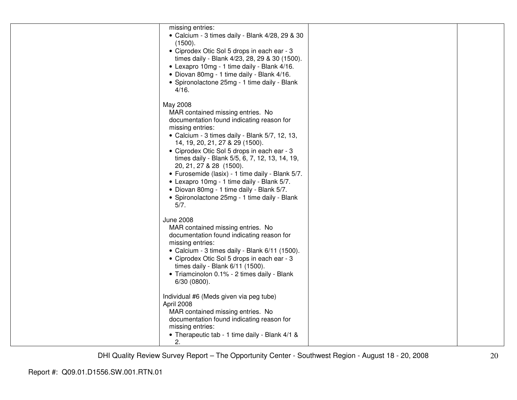| missing entries:<br>• Calcium - 3 times daily - Blank 4/28, 29 & 30<br>(1500).<br>• Ciprodex Otic Sol 5 drops in each ear - 3<br>times daily - Blank 4/23, 28, 29 & 30 (1500).<br>• Lexapro 10mg - 1 time daily - Blank 4/16.<br>• Diovan 80mg - 1 time daily - Blank 4/16.<br>• Spironolactone 25mg - 1 time daily - Blank<br>4/16.                                                                                                                                                                                                   |  |
|----------------------------------------------------------------------------------------------------------------------------------------------------------------------------------------------------------------------------------------------------------------------------------------------------------------------------------------------------------------------------------------------------------------------------------------------------------------------------------------------------------------------------------------|--|
| May 2008<br>MAR contained missing entries. No<br>documentation found indicating reason for<br>missing entries:<br>• Calcium - 3 times daily - Blank 5/7, 12, 13,<br>14, 19, 20, 21, 27 & 29 (1500).<br>• Ciprodex Otic Sol 5 drops in each ear - 3<br>times daily - Blank 5/5, 6, 7, 12, 13, 14, 19,<br>20, 21, 27 & 28 (1500).<br>• Furosemide (lasix) - 1 time daily - Blank 5/7.<br>• Lexapro 10mg - 1 time daily - Blank 5/7.<br>• Diovan 80mg - 1 time daily - Blank 5/7.<br>• Spironolactone 25mg - 1 time daily - Blank<br>5/7. |  |
| <b>June 2008</b><br>MAR contained missing entries. No<br>documentation found indicating reason for<br>missing entries:<br>• Calcium - 3 times daily - Blank 6/11 (1500).<br>• Ciprodex Otic Sol 5 drops in each ear - 3<br>times daily - Blank 6/11 (1500).<br>• Triamcinolon 0.1% - 2 times daily - Blank<br>6/30 (0800).                                                                                                                                                                                                             |  |
| Individual #6 (Meds given via peg tube)<br>April 2008<br>MAR contained missing entries. No<br>documentation found indicating reason for<br>missing entries:<br>• Therapeutic tab - 1 time daily - Blank 4/1 &<br>2.                                                                                                                                                                                                                                                                                                                    |  |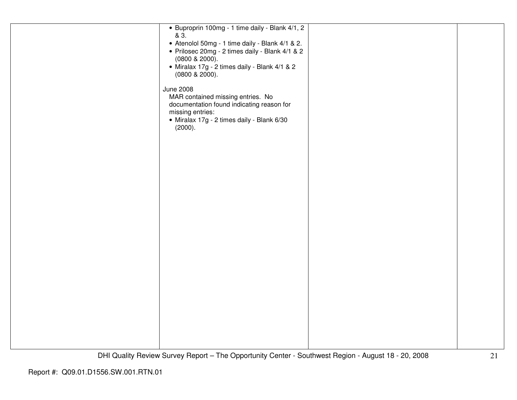| • Buproprin 100mg - 1 time daily - Blank 4/1, 2<br>& 3.<br>• Atenolol 50mg - 1 time daily - Blank 4/1 & 2.<br>· Prilosec 20mg - 2 times daily - Blank 4/1 & 2<br>$(0800 \& 2000)$ .<br>• Miralax 17g - 2 times daily - Blank 4/1 & 2<br>$(0800 \& 2000)$ .<br><b>June 2008</b> |  |
|--------------------------------------------------------------------------------------------------------------------------------------------------------------------------------------------------------------------------------------------------------------------------------|--|
| MAR contained missing entries. No<br>documentation found indicating reason for<br>missing entries:<br>· Miralax 17g - 2 times daily - Blank 6/30<br>(2000).                                                                                                                    |  |
|                                                                                                                                                                                                                                                                                |  |
|                                                                                                                                                                                                                                                                                |  |
|                                                                                                                                                                                                                                                                                |  |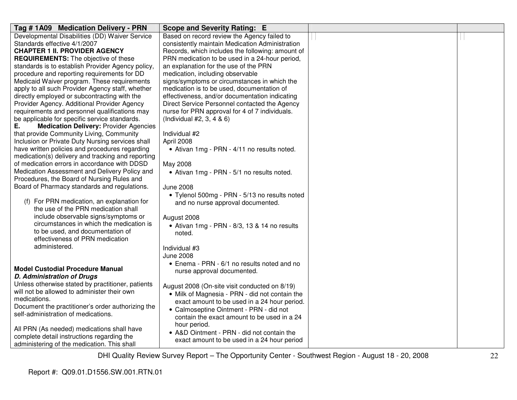| Tag # 1A09 Medication Delivery - PRN                | Scope and Severity Rating: E                     |  |
|-----------------------------------------------------|--------------------------------------------------|--|
| Developmental Disabilities (DD) Waiver Service      | Based on record review the Agency failed to      |  |
| Standards effective 4/1/2007                        | consistently maintain Medication Administration  |  |
| <b>CHAPTER 1 II. PROVIDER AGENCY</b>                | Records, which includes the following: amount of |  |
| <b>REQUIREMENTS:</b> The objective of these         | PRN medication to be used in a 24-hour period,   |  |
| standards is to establish Provider Agency policy,   | an explanation for the use of the PRN            |  |
| procedure and reporting requirements for DD         | medication, including observable                 |  |
| Medicaid Waiver program. These requirements         | signs/symptoms or circumstances in which the     |  |
| apply to all such Provider Agency staff, whether    | medication is to be used, documentation of       |  |
| directly employed or subcontracting with the        | effectiveness, and/or documentation indicating   |  |
| Provider Agency. Additional Provider Agency         | Direct Service Personnel contacted the Agency    |  |
| requirements and personnel qualifications may       | nurse for PRN approval for 4 of 7 individuals.   |  |
| be applicable for specific service standards.       | (Individual $#2, 3, 4 & 6$ )                     |  |
| Ε.<br><b>Medication Delivery: Provider Agencies</b> |                                                  |  |
| that provide Community Living, Community            | Individual #2                                    |  |
| Inclusion or Private Duty Nursing services shall    | April 2008                                       |  |
| have written policies and procedures regarding      | • Ativan 1mg - PRN - 4/11 no results noted.      |  |
| medication(s) delivery and tracking and reporting   |                                                  |  |
| of medication errors in accordance with DDSD        | May 2008                                         |  |
| Medication Assessment and Delivery Policy and       | • Ativan 1mg - PRN - 5/1 no results noted.       |  |
| Procedures, the Board of Nursing Rules and          |                                                  |  |
| Board of Pharmacy standards and regulations.        | June 2008                                        |  |
|                                                     | • Tylenol 500mg - PRN - 5/13 no results noted    |  |
| (f) For PRN medication, an explanation for          | and no nurse approval documented.                |  |
| the use of the PRN medication shall                 |                                                  |  |
| include observable signs/symptoms or                | August 2008                                      |  |
| circumstances in which the medication is            | • Ativan 1mg - PRN - 8/3, 13 & 14 no results     |  |
| to be used, and documentation of                    | noted.                                           |  |
| effectiveness of PRN medication                     |                                                  |  |
| administered.                                       | Individual #3                                    |  |
|                                                     | <b>June 2008</b>                                 |  |
|                                                     | • Enema - PRN - 6/1 no results noted and no      |  |
| <b>Model Custodial Procedure Manual</b>             | nurse approval documented.                       |  |
| <b>D. Administration of Drugs</b>                   |                                                  |  |
| Unless otherwise stated by practitioner, patients   | August 2008 (On-site visit conducted on 8/19)    |  |
| will not be allowed to administer their own         | • Milk of Magnesia - PRN - did not contain the   |  |
| medications.                                        | exact amount to be used in a 24 hour period.     |  |
| Document the practitioner's order authorizing the   | • Calmoseptine Ointment - PRN - did not          |  |
| self-administration of medications.                 | contain the exact amount to be used in a 24      |  |
|                                                     | hour period.                                     |  |
| All PRN (As needed) medications shall have          | • A&D Ointment - PRN - did not contain the       |  |
| complete detail instructions regarding the          | exact amount to be used in a 24 hour period      |  |
| administering of the medication. This shall         |                                                  |  |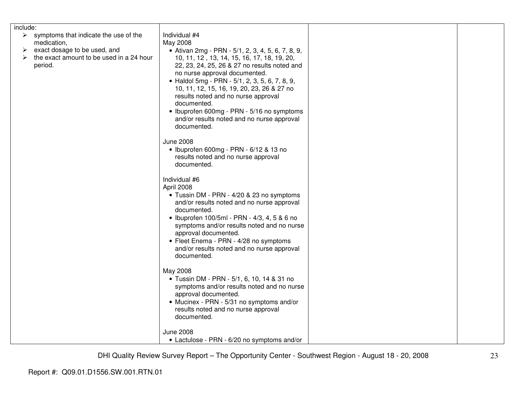| include:                                                                                                                                                          |                                                                                                                                                                                                                                                                                                                                                                                                                                                                                 |  |
|-------------------------------------------------------------------------------------------------------------------------------------------------------------------|---------------------------------------------------------------------------------------------------------------------------------------------------------------------------------------------------------------------------------------------------------------------------------------------------------------------------------------------------------------------------------------------------------------------------------------------------------------------------------|--|
| $\triangleright$ symptoms that indicate the use of the<br>medication,<br>exact dosage to be used, and<br>➤<br>the exact amount to be used in a 24 hour<br>period. | Individual #4<br>May 2008<br>• Ativan 2mg - PRN - 5/1, 2, 3, 4, 5, 6, 7, 8, 9,<br>10, 11, 12, 13, 14, 15, 16, 17, 18, 19, 20,<br>22, 23, 24, 25, 26 & 27 no results noted and<br>no nurse approval documented.<br>• Haldol 5mg - PRN - 5/1, 2, 3, 5, 6, 7, 8, 9,<br>10, 11, 12, 15, 16, 19, 20, 23, 26 & 27 no<br>results noted and no nurse approval<br>documented.<br>• Ibuprofen 600mg - PRN - 5/16 no symptoms<br>and/or results noted and no nurse approval<br>documented. |  |
|                                                                                                                                                                   | <b>June 2008</b><br>• Ibuprofen 600mg - PRN - 6/12 & 13 no<br>results noted and no nurse approval<br>documented.                                                                                                                                                                                                                                                                                                                                                                |  |
|                                                                                                                                                                   | Individual #6<br>April 2008<br>• Tussin DM - PRN - 4/20 & 23 no symptoms<br>and/or results noted and no nurse approval<br>documented.<br>• Ibuprofen 100/5ml - PRN - 4/3, 4, 5 & 6 no<br>symptoms and/or results noted and no nurse<br>approval documented.<br>• Fleet Enema - PRN - 4/28 no symptoms<br>and/or results noted and no nurse approval<br>documented.                                                                                                              |  |
|                                                                                                                                                                   | May 2008<br>· Tussin DM - PRN - 5/1, 6, 10, 14 & 31 no<br>symptoms and/or results noted and no nurse<br>approval documented.<br>• Mucinex - PRN - 5/31 no symptoms and/or<br>results noted and no nurse approval<br>documented.                                                                                                                                                                                                                                                 |  |
|                                                                                                                                                                   | <b>June 2008</b><br>• Lactulose - PRN - 6/20 no symptoms and/or                                                                                                                                                                                                                                                                                                                                                                                                                 |  |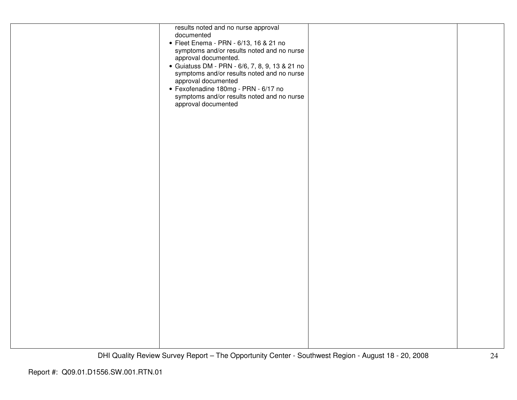| results noted and no nurse approval<br>documented<br>• Fleet Enema - PRN - 6/13, 16 & 21 no<br>symptoms and/or results noted and no nurse<br>approval documented.<br>· Guiatuss DM - PRN - 6/6, 7, 8, 9, 13 & 21 no<br>symptoms and/or results noted and no nurse<br>approval documented<br>· Fexofenadine 180mg - PRN - 6/17 no<br>symptoms and/or results noted and no nurse<br>approval documented |  |
|-------------------------------------------------------------------------------------------------------------------------------------------------------------------------------------------------------------------------------------------------------------------------------------------------------------------------------------------------------------------------------------------------------|--|
|                                                                                                                                                                                                                                                                                                                                                                                                       |  |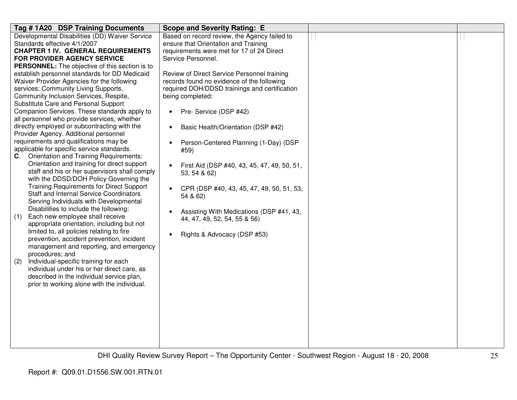| Tag #1A20 DSP Training Documents                                               | <b>Scope and Severity Rating: E</b>                      |  |
|--------------------------------------------------------------------------------|----------------------------------------------------------|--|
| Developmental Disabilities (DD) Waiver Service                                 | Based on record review, the Agency failed to             |  |
| Standards effective 4/1/2007                                                   | ensure that Orientation and Training                     |  |
| <b>CHAPTER 1 IV. GENERAL REQUIREMENTS</b>                                      | requirements were met for 17 of 24 Direct                |  |
| FOR PROVIDER AGENCY SERVICE                                                    | Service Personnel.                                       |  |
| <b>PERSONNEL:</b> The objective of this section is to                          |                                                          |  |
| establish personnel standards for DD Medicaid                                  | Review of Direct Service Personnel training              |  |
| Waiver Provider Agencies for the following                                     | records found no evidence of the following               |  |
| services: Community Living Supports,                                           | required DOH/DDSD trainings and certification            |  |
| Community Inclusion Services, Respite,<br>Substitute Care and Personal Support | being completed:                                         |  |
| Companion Services. These standards apply to                                   |                                                          |  |
| all personnel who provide services, whether                                    | Pre- Service (DSP #42)<br>$\bullet$                      |  |
| directly employed or subcontracting with the                                   | Basic Health/Orientation (DSP #42)<br>$\bullet$          |  |
| Provider Agency. Additional personnel                                          |                                                          |  |
| requirements and qualifications may be                                         | Person-Centered Planning (1-Day) (DSP                    |  |
| applicable for specific service standards.                                     | #59)                                                     |  |
| C. Orientation and Training Requirements:                                      |                                                          |  |
| Orientation and training for direct support                                    | First Aid (DSP #40, 43, 45, 47, 49, 50, 51,<br>$\bullet$ |  |
| staff and his or her supervisors shall comply                                  | 53, 54 & 62)                                             |  |
| with the DDSD/DOH Policy Governing the                                         |                                                          |  |
| <b>Training Requirements for Direct Support</b>                                | CPR (DSP #40, 43, 45, 47, 49, 50, 51, 53,<br>$\bullet$   |  |
| <b>Staff and Internal Service Coordinators</b>                                 | 54 & 62)                                                 |  |
| Serving Individuals with Developmental                                         |                                                          |  |
| Disabilities to include the following:                                         | Assisting With Medications (DSP #41, 43,<br>$\bullet$    |  |
| Each new employee shall receive<br>(1)                                         | 44, 47, 49, 52, 54, 55 & 56)                             |  |
| appropriate orientation, including but not                                     |                                                          |  |
| limited to, all policies relating to fire                                      | Rights & Advocacy (DSP #53)<br>$\bullet$                 |  |
| prevention, accident prevention, incident                                      |                                                          |  |
| management and reporting, and emergency                                        |                                                          |  |
| procedures; and<br>Individual-specific training for each<br>(2)                |                                                          |  |
| individual under his or her direct care, as                                    |                                                          |  |
| described in the individual service plan,                                      |                                                          |  |
| prior to working alone with the individual.                                    |                                                          |  |
|                                                                                |                                                          |  |
|                                                                                |                                                          |  |
|                                                                                |                                                          |  |
|                                                                                |                                                          |  |
|                                                                                |                                                          |  |
|                                                                                |                                                          |  |
|                                                                                |                                                          |  |
|                                                                                |                                                          |  |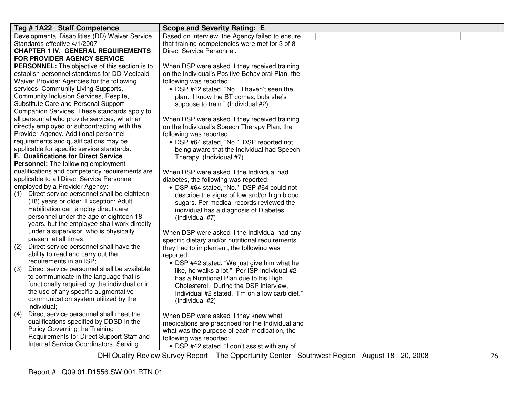| Tag #1A22 Staff Competence                                                           | <b>Scope and Severity Rating: E</b>                                                       |   |  |
|--------------------------------------------------------------------------------------|-------------------------------------------------------------------------------------------|---|--|
| Developmental Disabilities (DD) Waiver Service                                       | Based on interview, the Agency failed to ensure                                           | Ħ |  |
| Standards effective 4/1/2007                                                         | that training competencies were met for 3 of 8                                            |   |  |
| <b>CHAPTER 1 IV. GENERAL REQUIREMENTS</b>                                            | Direct Service Personnel.                                                                 |   |  |
| <b>FOR PROVIDER AGENCY SERVICE</b>                                                   |                                                                                           |   |  |
| PERSONNEL: The objective of this section is to                                       | When DSP were asked if they received training                                             |   |  |
| establish personnel standards for DD Medicaid                                        | on the Individual's Positive Behavioral Plan, the                                         |   |  |
| Waiver Provider Agencies for the following                                           | following was reported:                                                                   |   |  |
| services: Community Living Supports,                                                 | • DSP #42 stated, "NoI haven't seen the                                                   |   |  |
| Community Inclusion Services, Respite,                                               | plan. I know the BT comes, buts she's                                                     |   |  |
| Substitute Care and Personal Support                                                 | suppose to train." (Individual #2)                                                        |   |  |
| Companion Services. These standards apply to                                         |                                                                                           |   |  |
| all personnel who provide services, whether                                          | When DSP were asked if they received training                                             |   |  |
| directly employed or subcontracting with the                                         | on the Individual's Speech Therapy Plan, the                                              |   |  |
| Provider Agency. Additional personnel                                                | following was reported:                                                                   |   |  |
| requirements and qualifications may be                                               | • DSP #64 stated, "No." DSP reported not                                                  |   |  |
| applicable for specific service standards.                                           | being aware that the individual had Speech                                                |   |  |
| F. Qualifications for Direct Service                                                 | Therapy. (Individual #7)                                                                  |   |  |
| <b>Personnel:</b> The following employment                                           |                                                                                           |   |  |
| qualifications and competency requirements are                                       | When DSP were asked if the Individual had                                                 |   |  |
| applicable to all Direct Service Personnel                                           | diabetes, the following was reported:                                                     |   |  |
| employed by a Provider Agency:                                                       | • DSP #64 stated, "No." DSP #64 could not                                                 |   |  |
| (1) Direct service personnel shall be eighteen                                       | describe the signs of low and/or high blood                                               |   |  |
| (18) years or older. Exception: Adult                                                | sugars. Per medical records reviewed the                                                  |   |  |
| Habilitation can employ direct care                                                  | individual has a diagnosis of Diabetes.                                                   |   |  |
| personnel under the age of eighteen 18                                               | (Individual #7)                                                                           |   |  |
| years, but the employee shall work directly<br>under a supervisor, who is physically |                                                                                           |   |  |
| present at all times;                                                                | When DSP were asked if the Individual had any                                             |   |  |
| Direct service personnel shall have the<br>(2)                                       | specific dietary and/or nutritional requirements                                          |   |  |
| ability to read and carry out the                                                    | they had to implement, the following was                                                  |   |  |
| requirements in an ISP;                                                              | reported:                                                                                 |   |  |
| Direct service personnel shall be available<br>(3)                                   | • DSP #42 stated, "We just give him what he                                               |   |  |
| to communicate in the language that is                                               | like, he walks a lot." Per ISP Individual #2                                              |   |  |
| functionally required by the individual or in                                        | has a Nutritional Plan due to his High                                                    |   |  |
| the use of any specific augmentative                                                 | Cholesterol. During the DSP interview,<br>Individual #2 stated, "I'm on a low carb diet." |   |  |
| communication system utilized by the                                                 | (Individual #2)                                                                           |   |  |
| individual;                                                                          |                                                                                           |   |  |
| Direct service personnel shall meet the<br>(4)                                       | When DSP were asked if they knew what                                                     |   |  |
| qualifications specified by DDSD in the                                              | medications are prescribed for the Individual and                                         |   |  |
| Policy Governing the Training                                                        | what was the purpose of each medication, the                                              |   |  |
| Requirements for Direct Support Staff and                                            | following was reported:                                                                   |   |  |
| Internal Service Coordinators, Serving                                               | • DSP #42 stated, "I don't assist with any of                                             |   |  |
|                                                                                      |                                                                                           |   |  |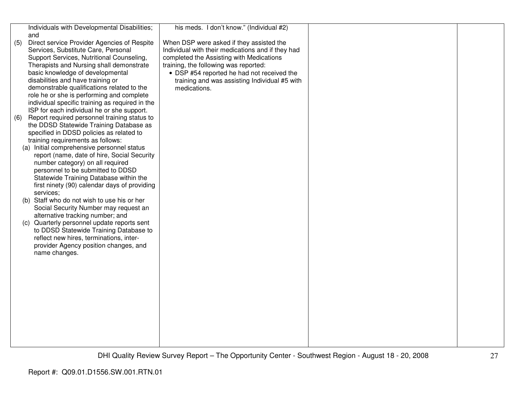| (5) | Individuals with Developmental Disabilities;<br>and<br>Direct service Provider Agencies of Respite | his meds. I don't know." (Individual #2)<br>When DSP were asked if they assisted the          |  |
|-----|----------------------------------------------------------------------------------------------------|-----------------------------------------------------------------------------------------------|--|
|     | Services, Substitute Care, Personal<br>Support Services, Nutritional Counseling,                   | Individual with their medications and if they had<br>completed the Assisting with Medications |  |
|     | Therapists and Nursing shall demonstrate                                                           | training, the following was reported:                                                         |  |
|     | basic knowledge of developmental                                                                   | • DSP #54 reported he had not received the                                                    |  |
|     | disabilities and have training or<br>demonstrable qualifications related to the                    | training and was assisting Individual #5 with<br>medications.                                 |  |
|     | role he or she is performing and complete                                                          |                                                                                               |  |
|     | individual specific training as required in the                                                    |                                                                                               |  |
|     | ISP for each individual he or she support.<br>Report required personnel training status to         |                                                                                               |  |
| (6) | the DDSD Statewide Training Database as                                                            |                                                                                               |  |
|     | specified in DDSD policies as related to                                                           |                                                                                               |  |
|     | training requirements as follows:<br>(a) Initial comprehensive personnel status                    |                                                                                               |  |
|     | report (name, date of hire, Social Security                                                        |                                                                                               |  |
|     | number category) on all required                                                                   |                                                                                               |  |
|     | personnel to be submitted to DDSD<br>Statewide Training Database within the                        |                                                                                               |  |
|     | first ninety (90) calendar days of providing                                                       |                                                                                               |  |
|     | services;<br>(b) Staff who do not wish to use his or her                                           |                                                                                               |  |
|     | Social Security Number may request an                                                              |                                                                                               |  |
|     | alternative tracking number; and                                                                   |                                                                                               |  |
|     | (c) Quarterly personnel update reports sent<br>to DDSD Statewide Training Database to              |                                                                                               |  |
|     | reflect new hires, terminations, inter-                                                            |                                                                                               |  |
|     | provider Agency position changes, and                                                              |                                                                                               |  |
|     | name changes.                                                                                      |                                                                                               |  |
|     |                                                                                                    |                                                                                               |  |
|     |                                                                                                    |                                                                                               |  |
|     |                                                                                                    |                                                                                               |  |
|     |                                                                                                    |                                                                                               |  |
|     |                                                                                                    |                                                                                               |  |
|     |                                                                                                    |                                                                                               |  |
|     |                                                                                                    |                                                                                               |  |
|     |                                                                                                    |                                                                                               |  |
|     |                                                                                                    |                                                                                               |  |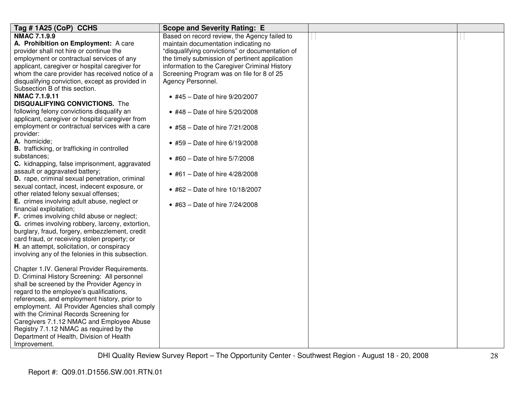| Tag #1A25 (CoP) CCHS                                | <b>Scope and Severity Rating: E</b>             |  |
|-----------------------------------------------------|-------------------------------------------------|--|
| <b>NMAC 7.1.9.9</b>                                 | Based on record review, the Agency failed to    |  |
| A. Prohibition on Employment: A care                | maintain documentation indicating no            |  |
| provider shall not hire or continue the             | "disqualifying convictions" or documentation of |  |
| employment or contractual services of any           | the timely submission of pertinent application  |  |
| applicant, caregiver or hospital caregiver for      | information to the Caregiver Criminal History   |  |
| whom the care provider has received notice of a     | Screening Program was on file for 8 of 25       |  |
| disqualifying conviction, except as provided in     | Agency Personnel.                               |  |
| Subsection B of this section.                       |                                                 |  |
| <b>NMAC 7.1.9.11</b>                                | • #45 - Date of hire 9/20/2007                  |  |
| <b>DISQUALIFYING CONVICTIONS.</b> The               |                                                 |  |
| following felony convictions disqualify an          | • #48 - Date of hire 5/20/2008                  |  |
| applicant, caregiver or hospital caregiver from     |                                                 |  |
| employment or contractual services with a care      | • #58 - Date of hire 7/21/2008                  |  |
| provider:                                           |                                                 |  |
| A. homicide;                                        | • #59 - Date of hire 6/19/2008                  |  |
| <b>B.</b> trafficking, or trafficking in controlled |                                                 |  |
| substances;                                         | • #60 - Date of hire 5/7/2008                   |  |
| C. kidnapping, false imprisonment, aggravated       |                                                 |  |
| assault or aggravated battery;                      | • #61 - Date of hire $4/28/2008$                |  |
| D. rape, criminal sexual penetration, criminal      |                                                 |  |
| sexual contact, incest, indecent exposure, or       | • #62 - Date of hire 10/18/2007                 |  |
| other related felony sexual offenses;               |                                                 |  |
| E. crimes involving adult abuse, neglect or         | • #63 – Date of hire $7/24/2008$                |  |
| financial exploitation;                             |                                                 |  |
| F. crimes involving child abuse or neglect;         |                                                 |  |
| G. crimes involving robbery, larceny, extortion,    |                                                 |  |
| burglary, fraud, forgery, embezzlement, credit      |                                                 |  |
| card fraud, or receiving stolen property; or        |                                                 |  |
| H. an attempt, solicitation, or conspiracy          |                                                 |  |
| involving any of the felonies in this subsection.   |                                                 |  |
|                                                     |                                                 |  |
| Chapter 1.IV. General Provider Requirements.        |                                                 |  |
| D. Criminal History Screening: All personnel        |                                                 |  |
| shall be screened by the Provider Agency in         |                                                 |  |
| regard to the employee's qualifications,            |                                                 |  |
| references, and employment history, prior to        |                                                 |  |
| employment. All Provider Agencies shall comply      |                                                 |  |
| with the Criminal Records Screening for             |                                                 |  |
| Caregivers 7.1.12 NMAC and Employee Abuse           |                                                 |  |
| Registry 7.1.12 NMAC as required by the             |                                                 |  |
| Department of Health, Division of Health            |                                                 |  |
| Improvement.                                        |                                                 |  |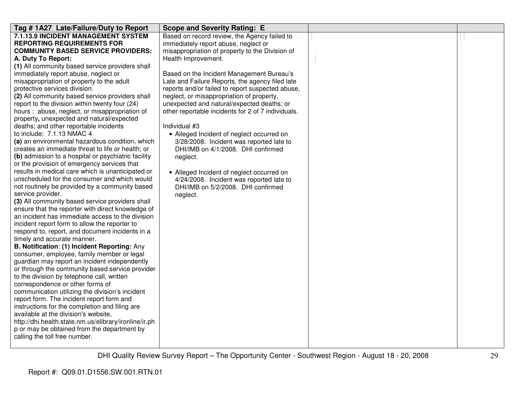| Tag #1A27 Late/Failure/Duty to Report                                                            | <b>Scope and Severity Rating: E</b>                |  |
|--------------------------------------------------------------------------------------------------|----------------------------------------------------|--|
| 7.1.13.9 INCIDENT MANAGEMENT SYSTEM                                                              | Based on record review, the Agency failed to       |  |
| <b>REPORTING REQUIREMENTS FOR</b>                                                                | immediately report abuse, neglect or               |  |
| <b>COMMUNITY BASED SERVICE PROVIDERS:</b>                                                        | misappropriation of property to the Division of    |  |
| A. Duty To Report:                                                                               | Health Improvement.                                |  |
| (1) All community based service providers shall                                                  |                                                    |  |
| immediately report abuse, neglect or                                                             | Based on the Incident Management Bureau's          |  |
| misappropriation of property to the adult                                                        | Late and Failure Reports, the agency filed late    |  |
| protective services division.                                                                    | reports and/or failed to report suspected abuse,   |  |
| (2) All community based service providers shall                                                  | neglect, or misappropriation of property,          |  |
| report to the division within twenty four (24)                                                   | unexpected and natural/expected deaths; or         |  |
| hours : abuse, neglect, or misappropriation of                                                   | other reportable incidents for 2 of 7 individuals. |  |
| property, unexpected and natural/expected                                                        |                                                    |  |
| deaths; and other reportable incidents                                                           | Individual #3                                      |  |
| to include: 7.1.13 NMAC 4                                                                        | • Alleged Incident of neglect occurred on          |  |
| (a) an environmental hazardous condition, which                                                  | 3/28/2008. Incident was reported late to           |  |
| creates an immediate threat to life or health; or                                                | DHI/IMB on 4/1/2008. DHI confirmed                 |  |
| (b) admission to a hospital or psychiatric facility                                              | neglect.                                           |  |
| or the provision of emergency services that<br>results in medical care which is unanticipated or |                                                    |  |
| unscheduled for the consumer and which would                                                     | • Alleged Incident of neglect occurred on          |  |
| not routinely be provided by a community based                                                   | 4/24/2008. Incident was reported late to           |  |
| service provider.                                                                                | DHI/IMB on 5/2/2008. DHI confirmed                 |  |
| (3) All community based service providers shall                                                  | neglect.                                           |  |
| ensure that the reporter with direct knowledge of                                                |                                                    |  |
| an incident has immediate access to the division                                                 |                                                    |  |
| incident report form to allow the reporter to                                                    |                                                    |  |
| respond to, report, and document incidents in a                                                  |                                                    |  |
| timely and accurate manner.                                                                      |                                                    |  |
| B. Notification: (1) Incident Reporting: Any                                                     |                                                    |  |
| consumer, employee, family member or legal                                                       |                                                    |  |
| guardian may report an incident independently                                                    |                                                    |  |
| or through the community based service provider                                                  |                                                    |  |
| to the division by telephone call, written                                                       |                                                    |  |
| correspondence or other forms of                                                                 |                                                    |  |
| communication utilizing the division's incident                                                  |                                                    |  |
| report form. The incident report form and                                                        |                                                    |  |
| instructions for the completion and filing are                                                   |                                                    |  |
| available at the division's website,                                                             |                                                    |  |
| http://dhi.health.state.nm.us/elibrary/ironline/ir.ph                                            |                                                    |  |
| p or may be obtained from the department by                                                      |                                                    |  |
| calling the toll free number.                                                                    |                                                    |  |
|                                                                                                  |                                                    |  |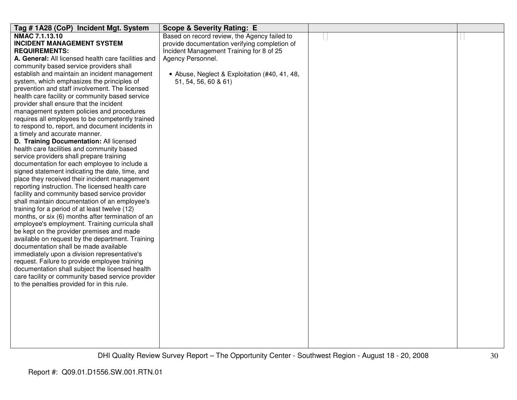| Tag #1A28 (CoP) Incident Mgt. System                | <b>Scope &amp; Severity Rating: E</b>         |  |
|-----------------------------------------------------|-----------------------------------------------|--|
| NMAC 7.1.13.10                                      | Based on record review, the Agency failed to  |  |
| <b>INCIDENT MANAGEMENT SYSTEM</b>                   | provide documentation verifying completion of |  |
| <b>REQUIREMENTS:</b>                                | Incident Management Training for 8 of 25      |  |
| A. General: All licensed health care facilities and | Agency Personnel.                             |  |
| community based service providers shall             |                                               |  |
| establish and maintain an incident management       | • Abuse, Neglect & Exploitation (#40, 41, 48, |  |
| system, which emphasizes the principles of          | 51, 54, 56, 60 & 61)                          |  |
| prevention and staff involvement. The licensed      |                                               |  |
| health care facility or community based service     |                                               |  |
| provider shall ensure that the incident             |                                               |  |
| management system policies and procedures           |                                               |  |
| requires all employees to be competently trained    |                                               |  |
| to respond to, report, and document incidents in    |                                               |  |
| a timely and accurate manner.                       |                                               |  |
| D. Training Documentation: All licensed             |                                               |  |
| health care facilities and community based          |                                               |  |
| service providers shall prepare training            |                                               |  |
| documentation for each employee to include a        |                                               |  |
| signed statement indicating the date, time, and     |                                               |  |
| place they received their incident management       |                                               |  |
| reporting instruction. The licensed health care     |                                               |  |
| facility and community based service provider       |                                               |  |
| shall maintain documentation of an employee's       |                                               |  |
| training for a period of at least twelve (12)       |                                               |  |
| months, or six (6) months after termination of an   |                                               |  |
| employee's employment. Training curricula shall     |                                               |  |
| be kept on the provider premises and made           |                                               |  |
| available on request by the department. Training    |                                               |  |
| documentation shall be made available               |                                               |  |
| immediately upon a division representative's        |                                               |  |
| request. Failure to provide employee training       |                                               |  |
| documentation shall subject the licensed health     |                                               |  |
| care facility or community based service provider   |                                               |  |
| to the penalties provided for in this rule.         |                                               |  |
|                                                     |                                               |  |
|                                                     |                                               |  |
|                                                     |                                               |  |
|                                                     |                                               |  |
|                                                     |                                               |  |
|                                                     |                                               |  |
|                                                     |                                               |  |
|                                                     |                                               |  |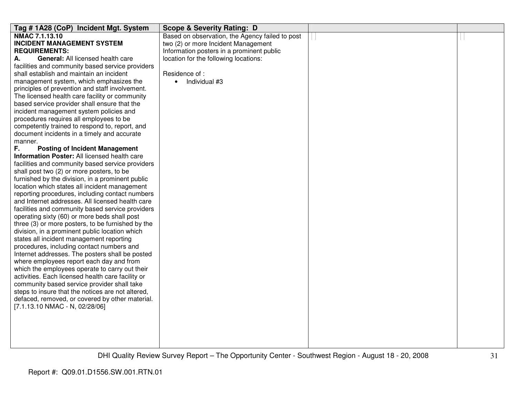| Tag # 1A28 (CoP) Incident Mgt. System                                                            | <b>Scope &amp; Severity Rating: D</b>           |  |
|--------------------------------------------------------------------------------------------------|-------------------------------------------------|--|
| NMAC 7.1.13.10                                                                                   | Based on observation, the Agency failed to post |  |
| <b>INCIDENT MANAGEMENT SYSTEM</b>                                                                | two (2) or more Incident Management             |  |
| <b>REQUIREMENTS:</b>                                                                             | Information posters in a prominent public       |  |
| General: All licensed health care<br>А.                                                          | location for the following locations:           |  |
| facilities and community based service providers                                                 |                                                 |  |
| shall establish and maintain an incident                                                         | Residence of:                                   |  |
| management system, which emphasizes the                                                          | Individual #3<br>$\bullet$                      |  |
| principles of prevention and staff involvement.                                                  |                                                 |  |
| The licensed health care facility or community                                                   |                                                 |  |
| based service provider shall ensure that the                                                     |                                                 |  |
| incident management system policies and                                                          |                                                 |  |
| procedures requires all employees to be                                                          |                                                 |  |
| competently trained to respond to, report, and                                                   |                                                 |  |
| document incidents in a timely and accurate                                                      |                                                 |  |
| manner.                                                                                          |                                                 |  |
| F.<br><b>Posting of Incident Management</b>                                                      |                                                 |  |
| Information Poster: All licensed health care                                                     |                                                 |  |
| facilities and community based service providers                                                 |                                                 |  |
| shall post two (2) or more posters, to be                                                        |                                                 |  |
| furnished by the division, in a prominent public                                                 |                                                 |  |
| location which states all incident management                                                    |                                                 |  |
| reporting procedures, including contact numbers                                                  |                                                 |  |
| and Internet addresses. All licensed health care                                                 |                                                 |  |
| facilities and community based service providers                                                 |                                                 |  |
| operating sixty (60) or more beds shall post                                                     |                                                 |  |
| three (3) or more posters, to be furnished by the                                                |                                                 |  |
| division, in a prominent public location which                                                   |                                                 |  |
| states all incident management reporting                                                         |                                                 |  |
| procedures, including contact numbers and                                                        |                                                 |  |
| Internet addresses. The posters shall be posted                                                  |                                                 |  |
| where employees report each day and from                                                         |                                                 |  |
| which the employees operate to carry out their                                                   |                                                 |  |
| activities. Each licensed health care facility or                                                |                                                 |  |
| community based service provider shall take<br>steps to insure that the notices are not altered, |                                                 |  |
| defaced, removed, or covered by other material.                                                  |                                                 |  |
| [7.1.13.10 NMAC - N, 02/28/06]                                                                   |                                                 |  |
|                                                                                                  |                                                 |  |
|                                                                                                  |                                                 |  |
|                                                                                                  |                                                 |  |
|                                                                                                  |                                                 |  |
|                                                                                                  |                                                 |  |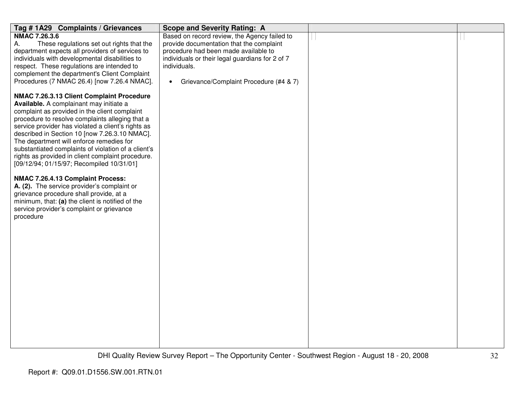| Tag #1A29 Complaints / Grievances                                                               | <b>Scope and Severity Rating: A</b>                             |  |
|-------------------------------------------------------------------------------------------------|-----------------------------------------------------------------|--|
| <b>NMAC 7.26.3.6</b>                                                                            | Based on record review, the Agency failed to                    |  |
| These regulations set out rights that the<br>А.                                                 | provide documentation that the complaint                        |  |
| department expects all providers of services to                                                 | procedure had been made available to                            |  |
| individuals with developmental disabilities to                                                  | individuals or their legal guardians for 2 of 7<br>individuals. |  |
| respect. These regulations are intended to<br>complement the department's Client Complaint      |                                                                 |  |
| Procedures (7 NMAC 26.4) [now 7.26.4 NMAC].                                                     | Grievance/Complaint Procedure (#4 & 7)<br>$\bullet$             |  |
|                                                                                                 |                                                                 |  |
| NMAC 7.26.3.13 Client Complaint Procedure                                                       |                                                                 |  |
| Available. A complainant may initiate a                                                         |                                                                 |  |
| complaint as provided in the client complaint                                                   |                                                                 |  |
| procedure to resolve complaints alleging that a                                                 |                                                                 |  |
| service provider has violated a client's rights as                                              |                                                                 |  |
| described in Section 10 [now 7.26.3.10 NMAC].                                                   |                                                                 |  |
| The department will enforce remedies for<br>substantiated complaints of violation of a client's |                                                                 |  |
| rights as provided in client complaint procedure.                                               |                                                                 |  |
| [09/12/94; 01/15/97; Recompiled 10/31/01]                                                       |                                                                 |  |
|                                                                                                 |                                                                 |  |
| NMAC 7.26.4.13 Complaint Process:                                                               |                                                                 |  |
| A. (2). The service provider's complaint or                                                     |                                                                 |  |
| grievance procedure shall provide, at a                                                         |                                                                 |  |
| minimum, that: (a) the client is notified of the                                                |                                                                 |  |
| service provider's complaint or grievance                                                       |                                                                 |  |
| procedure                                                                                       |                                                                 |  |
|                                                                                                 |                                                                 |  |
|                                                                                                 |                                                                 |  |
|                                                                                                 |                                                                 |  |
|                                                                                                 |                                                                 |  |
|                                                                                                 |                                                                 |  |
|                                                                                                 |                                                                 |  |
|                                                                                                 |                                                                 |  |
|                                                                                                 |                                                                 |  |
|                                                                                                 |                                                                 |  |
|                                                                                                 |                                                                 |  |
|                                                                                                 |                                                                 |  |
|                                                                                                 |                                                                 |  |
|                                                                                                 |                                                                 |  |
|                                                                                                 |                                                                 |  |
|                                                                                                 |                                                                 |  |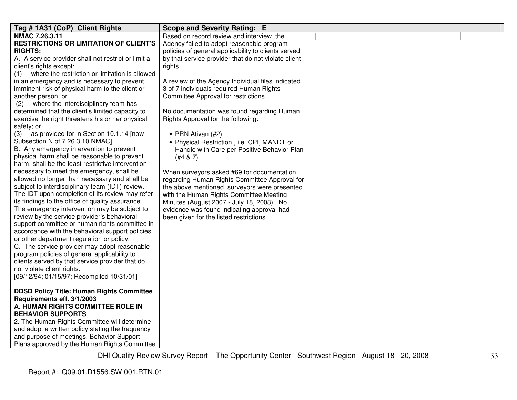| Tag # 1A31 (CoP) Client Rights                        | <b>Scope and Severity Rating: E</b>                 |  |
|-------------------------------------------------------|-----------------------------------------------------|--|
| NMAC 7.26.3.11                                        | Based on record review and interview, the           |  |
| <b>RESTRICTIONS OR LIMITATION OF CLIENT'S</b>         | Agency failed to adopt reasonable program           |  |
| <b>RIGHTS:</b>                                        | policies of general applicability to clients served |  |
| A. A service provider shall not restrict or limit a   | by that service provider that do not violate client |  |
| client's rights except:                               | rights.                                             |  |
| where the restriction or limitation is allowed<br>(1) |                                                     |  |
| in an emergency and is necessary to prevent           | A review of the Agency Individual files indicated   |  |
| imminent risk of physical harm to the client or       | 3 of 7 individuals required Human Rights            |  |
| another person; or                                    | Committee Approval for restrictions.                |  |
| where the interdisciplinary team has<br>(2)           |                                                     |  |
| determined that the client's limited capacity to      | No documentation was found regarding Human          |  |
| exercise the right threatens his or her physical      | Rights Approval for the following:                  |  |
| safety; or                                            |                                                     |  |
| (3) as provided for in Section 10.1.14 [now           | • PRN Ativan (#2)                                   |  |
| Subsection N of 7.26.3.10 NMAC].                      | • Physical Restriction, i.e. CPI, MANDT or          |  |
| B. Any emergency intervention to prevent              | Handle with Care per Positive Behavior Plan         |  |
| physical harm shall be reasonable to prevent          | (#4 & 8)                                            |  |
| harm, shall be the least restrictive intervention     |                                                     |  |
| necessary to meet the emergency, shall be             | When surveyors asked #69 for documentation          |  |
| allowed no longer than necessary and shall be         | regarding Human Rights Committee Approval for       |  |
| subject to interdisciplinary team (IDT) review.       | the above mentioned, surveyors were presented       |  |
| The IDT upon completion of its review may refer       | with the Human Rights Committee Meeting             |  |
| its findings to the office of quality assurance.      | Minutes (August 2007 - July 18, 2008). No           |  |
| The emergency intervention may be subject to          | evidence was found indicating approval had          |  |
| review by the service provider's behavioral           | been given for the listed restrictions.             |  |
| support committee or human rights committee in        |                                                     |  |
| accordance with the behavioral support policies       |                                                     |  |
| or other department regulation or policy.             |                                                     |  |
| C. The service provider may adopt reasonable          |                                                     |  |
| program policies of general applicability to          |                                                     |  |
| clients served by that service provider that do       |                                                     |  |
| not violate client rights.                            |                                                     |  |
| [09/12/94; 01/15/97; Recompiled 10/31/01]             |                                                     |  |
|                                                       |                                                     |  |
| <b>DDSD Policy Title: Human Rights Committee</b>      |                                                     |  |
| Requirements eff. 3/1/2003                            |                                                     |  |
| A. HUMAN RIGHTS COMMITTEE ROLE IN                     |                                                     |  |
| <b>BEHAVIOR SUPPORTS</b>                              |                                                     |  |
| 2. The Human Rights Committee will determine          |                                                     |  |
| and adopt a written policy stating the frequency      |                                                     |  |
| and purpose of meetings. Behavior Support             |                                                     |  |
| Plans approved by the Human Rights Committee          |                                                     |  |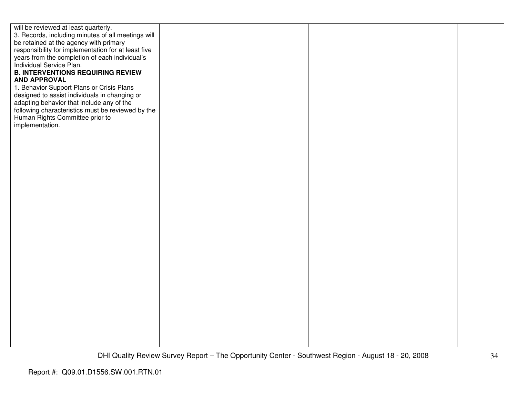| will be reviewed at least quarterly.                |  |  |
|-----------------------------------------------------|--|--|
| 3. Records, including minutes of all meetings will  |  |  |
| be retained at the agency with primary              |  |  |
|                                                     |  |  |
| responsibility for implementation for at least five |  |  |
| years from the completion of each individual's      |  |  |
| Individual Service Plan.                            |  |  |
| <b>B. INTERVENTIONS REQUIRING REVIEW</b>            |  |  |
|                                                     |  |  |
| <b>AND APPROVAL</b>                                 |  |  |
| 1. Behavior Support Plans or Crisis Plans           |  |  |
| designed to assist individuals in changing or       |  |  |
| adapting behavior that include any of the           |  |  |
| following characteristics must be reviewed by the   |  |  |
|                                                     |  |  |
| Human Rights Committee prior to                     |  |  |
| implementation.                                     |  |  |
|                                                     |  |  |
|                                                     |  |  |
|                                                     |  |  |
|                                                     |  |  |
|                                                     |  |  |
|                                                     |  |  |
|                                                     |  |  |
|                                                     |  |  |
|                                                     |  |  |
|                                                     |  |  |
|                                                     |  |  |
|                                                     |  |  |
|                                                     |  |  |
|                                                     |  |  |
|                                                     |  |  |
|                                                     |  |  |
|                                                     |  |  |
|                                                     |  |  |
|                                                     |  |  |
|                                                     |  |  |
|                                                     |  |  |
|                                                     |  |  |
|                                                     |  |  |
|                                                     |  |  |
|                                                     |  |  |
|                                                     |  |  |
|                                                     |  |  |
|                                                     |  |  |
|                                                     |  |  |
|                                                     |  |  |
|                                                     |  |  |
|                                                     |  |  |
|                                                     |  |  |
|                                                     |  |  |
|                                                     |  |  |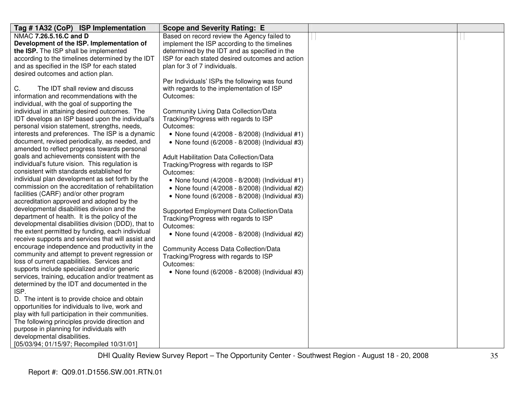| Tag # 1A32 (CoP) ISP Implementation                                                                    | <b>Scope and Severity Rating: E</b>             |  |
|--------------------------------------------------------------------------------------------------------|-------------------------------------------------|--|
| NMAC 7.26.5.16.C and D                                                                                 | Based on record review the Agency failed to     |  |
| Development of the ISP. Implementation of                                                              | implement the ISP according to the timelines    |  |
| the ISP. The ISP shall be implemented                                                                  | determined by the IDT and as specified in the   |  |
| according to the timelines determined by the IDT                                                       | ISP for each stated desired outcomes and action |  |
| and as specified in the ISP for each stated                                                            | plan for 3 of 7 individuals.                    |  |
| desired outcomes and action plan.                                                                      |                                                 |  |
|                                                                                                        | Per Individuals' ISPs the following was found   |  |
| С.<br>The IDT shall review and discuss                                                                 | with regards to the implementation of ISP       |  |
| information and recommendations with the                                                               | Outcomes:                                       |  |
| individual, with the goal of supporting the                                                            |                                                 |  |
| individual in attaining desired outcomes. The                                                          | <b>Community Living Data Collection/Data</b>    |  |
| IDT develops an ISP based upon the individual's                                                        | Tracking/Progress with regards to ISP           |  |
| personal vision statement, strengths, needs,                                                           | Outcomes:                                       |  |
| interests and preferences. The ISP is a dynamic                                                        | • None found (4/2008 - 8/2008) (Individual #1)  |  |
| document, revised periodically, as needed, and                                                         | • None found (6/2008 - 8/2008) (Individual #3)  |  |
| amended to reflect progress towards personal                                                           |                                                 |  |
| goals and achievements consistent with the                                                             | Adult Habilitation Data Collection/Data         |  |
| individual's future vision. This regulation is                                                         | Tracking/Progress with regards to ISP           |  |
| consistent with standards established for                                                              | Outcomes:                                       |  |
| individual plan development as set forth by the                                                        | • None found (4/2008 - 8/2008) (Individual #1)  |  |
| commission on the accreditation of rehabilitation                                                      | • None found (4/2008 - 8/2008) (Individual #2)  |  |
| facilities (CARF) and/or other program                                                                 | • None found (6/2008 - 8/2008) (Individual #3)  |  |
| accreditation approved and adopted by the                                                              |                                                 |  |
| developmental disabilities division and the                                                            | Supported Employment Data Collection/Data       |  |
| department of health. It is the policy of the                                                          | Tracking/Progress with regards to ISP           |  |
| developmental disabilities division (DDD), that to<br>the extent permitted by funding, each individual | Outcomes:                                       |  |
| receive supports and services that will assist and                                                     | • None found (4/2008 - 8/2008) (Individual #2)  |  |
| encourage independence and productivity in the                                                         |                                                 |  |
| community and attempt to prevent regression or                                                         | <b>Community Access Data Collection/Data</b>    |  |
| loss of current capabilities. Services and                                                             | Tracking/Progress with regards to ISP           |  |
| supports include specialized and/or generic                                                            | Outcomes:                                       |  |
| services, training, education and/or treatment as                                                      | • None found (6/2008 - 8/2008) (Individual #3)  |  |
| determined by the IDT and documented in the                                                            |                                                 |  |
| ISP.                                                                                                   |                                                 |  |
| D. The intent is to provide choice and obtain                                                          |                                                 |  |
| opportunities for individuals to live, work and                                                        |                                                 |  |
| play with full participation in their communities.                                                     |                                                 |  |
| The following principles provide direction and                                                         |                                                 |  |
| purpose in planning for individuals with                                                               |                                                 |  |
| developmental disabilities.                                                                            |                                                 |  |
| [05/03/94; 01/15/97; Recompiled 10/31/01]                                                              |                                                 |  |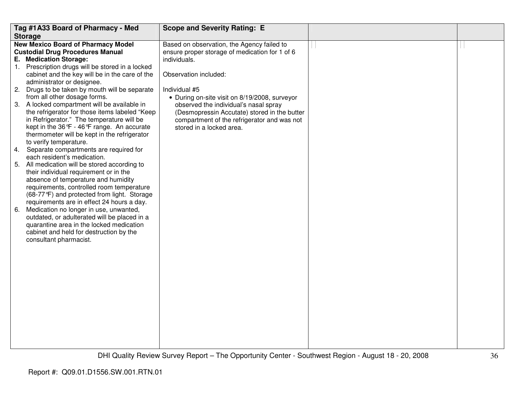| Tag #1A33 Board of Pharmacy - Med                                                                                                                                                                                                                                                                                                                                                                                                                                                                                        | <b>Scope and Severity Rating: E</b>                                                                                                                                                                                                                         |  |
|--------------------------------------------------------------------------------------------------------------------------------------------------------------------------------------------------------------------------------------------------------------------------------------------------------------------------------------------------------------------------------------------------------------------------------------------------------------------------------------------------------------------------|-------------------------------------------------------------------------------------------------------------------------------------------------------------------------------------------------------------------------------------------------------------|--|
| <b>Storage</b>                                                                                                                                                                                                                                                                                                                                                                                                                                                                                                           |                                                                                                                                                                                                                                                             |  |
| <b>New Mexico Board of Pharmacy Model</b><br><b>Custodial Drug Procedures Manual</b><br>E. Medication Storage:<br>1. Prescription drugs will be stored in a locked                                                                                                                                                                                                                                                                                                                                                       | Based on observation, the Agency failed to<br>ensure proper storage of medication for 1 of 6<br>individuals.                                                                                                                                                |  |
| cabinet and the key will be in the care of the<br>administrator or designee.<br>2.<br>Drugs to be taken by mouth will be separate<br>from all other dosage forms.<br>3. A locked compartment will be available in<br>the refrigerator for those items labeled "Keep<br>in Refrigerator." The temperature will be<br>kept in the $36^{\circ}F - 46^{\circ}F$ range. An accurate<br>thermometer will be kept in the refrigerator<br>to verify temperature.                                                                 | Observation included:<br>Individual #5<br>• During on-site visit on 8/19/2008, surveyor<br>observed the individual's nasal spray<br>(Desmopressin Accutate) stored in the butter<br>compartment of the refrigerator and was not<br>stored in a locked area. |  |
| Separate compartments are required for<br>4.                                                                                                                                                                                                                                                                                                                                                                                                                                                                             |                                                                                                                                                                                                                                                             |  |
| each resident's medication.<br>5. All medication will be stored according to<br>their individual requirement or in the<br>absence of temperature and humidity<br>requirements, controlled room temperature<br>(68-77°F) and protected from light. Storage<br>requirements are in effect 24 hours a day.<br>Medication no longer in use, unwanted,<br>6.<br>outdated, or adulterated will be placed in a<br>quarantine area in the locked medication<br>cabinet and held for destruction by the<br>consultant pharmacist. |                                                                                                                                                                                                                                                             |  |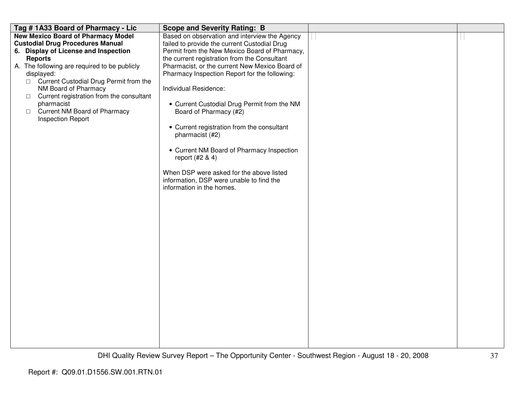| Tag # 1A33 Board of Pharmacy - Lic                 | <b>Scope and Severity Rating: B</b>            |  |
|----------------------------------------------------|------------------------------------------------|--|
| <b>New Mexico Board of Pharmacy Model</b>          | Based on observation and interview the Agency  |  |
| <b>Custodial Drug Procedures Manual</b>            | failed to provide the current Custodial Drug   |  |
| 6. Display of License and Inspection               | Permit from the New Mexico Board of Pharmacy,  |  |
| <b>Reports</b>                                     | the current registration from the Consultant   |  |
| A. The following are required to be publicly       | Pharmacist, or the current New Mexico Board of |  |
| displayed:                                         | Pharmacy Inspection Report for the following:  |  |
| □ Current Custodial Drug Permit from the           |                                                |  |
| NM Board of Pharmacy                               | Individual Residence:                          |  |
| Current registration from the consultant<br>$\Box$ |                                                |  |
| pharmacist                                         | • Current Custodial Drug Permit from the NM    |  |
| <b>Current NM Board of Pharmacy</b><br>$\Box$      | Board of Pharmacy (#2)                         |  |
| <b>Inspection Report</b>                           |                                                |  |
|                                                    | • Current registration from the consultant     |  |
|                                                    | pharmacist (#2)                                |  |
|                                                    |                                                |  |
|                                                    | • Current NM Board of Pharmacy Inspection      |  |
|                                                    | report (#2 & 4)                                |  |
|                                                    |                                                |  |
|                                                    | When DSP were asked for the above listed       |  |
|                                                    | information, DSP were unable to find the       |  |
|                                                    | information in the homes.                      |  |
|                                                    |                                                |  |
|                                                    |                                                |  |
|                                                    |                                                |  |
|                                                    |                                                |  |
|                                                    |                                                |  |
|                                                    |                                                |  |
|                                                    |                                                |  |
|                                                    |                                                |  |
|                                                    |                                                |  |
|                                                    |                                                |  |
|                                                    |                                                |  |
|                                                    |                                                |  |
|                                                    |                                                |  |
|                                                    |                                                |  |
|                                                    |                                                |  |
|                                                    |                                                |  |
|                                                    |                                                |  |
|                                                    |                                                |  |
|                                                    |                                                |  |
|                                                    |                                                |  |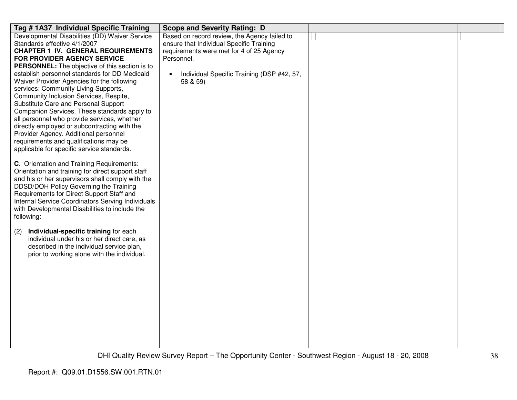| Tag # 1A37 Individual Specific Training                                                  | <b>Scope and Severity Rating: D</b>          |  |
|------------------------------------------------------------------------------------------|----------------------------------------------|--|
| Developmental Disabilities (DD) Waiver Service                                           | Based on record review, the Agency failed to |  |
| Standards effective 4/1/2007                                                             | ensure that Individual Specific Training     |  |
| <b>CHAPTER 1 IV. GENERAL REQUIREMENTS</b>                                                | requirements were met for 4 of 25 Agency     |  |
| FOR PROVIDER AGENCY SERVICE                                                              | Personnel.                                   |  |
| <b>PERSONNEL:</b> The objective of this section is to                                    |                                              |  |
| establish personnel standards for DD Medicaid                                            | Individual Specific Training (DSP #42, 57,   |  |
| Waiver Provider Agencies for the following                                               | 58 & 59)                                     |  |
| services: Community Living Supports,                                                     |                                              |  |
| Community Inclusion Services, Respite,                                                   |                                              |  |
| Substitute Care and Personal Support<br>Companion Services. These standards apply to     |                                              |  |
| all personnel who provide services, whether                                              |                                              |  |
| directly employed or subcontracting with the                                             |                                              |  |
| Provider Agency. Additional personnel                                                    |                                              |  |
| requirements and qualifications may be                                                   |                                              |  |
| applicable for specific service standards.                                               |                                              |  |
|                                                                                          |                                              |  |
| C. Orientation and Training Requirements:                                                |                                              |  |
| Orientation and training for direct support staff                                        |                                              |  |
| and his or her supervisors shall comply with the                                         |                                              |  |
| DDSD/DOH Policy Governing the Training                                                   |                                              |  |
| Requirements for Direct Support Staff and                                                |                                              |  |
| Internal Service Coordinators Serving Individuals                                        |                                              |  |
| with Developmental Disabilities to include the                                           |                                              |  |
| following:                                                                               |                                              |  |
|                                                                                          |                                              |  |
| Individual-specific training for each<br>(2)                                             |                                              |  |
| individual under his or her direct care, as                                              |                                              |  |
| described in the individual service plan,<br>prior to working alone with the individual. |                                              |  |
|                                                                                          |                                              |  |
|                                                                                          |                                              |  |
|                                                                                          |                                              |  |
|                                                                                          |                                              |  |
|                                                                                          |                                              |  |
|                                                                                          |                                              |  |
|                                                                                          |                                              |  |
|                                                                                          |                                              |  |
|                                                                                          |                                              |  |
|                                                                                          |                                              |  |
|                                                                                          |                                              |  |
|                                                                                          |                                              |  |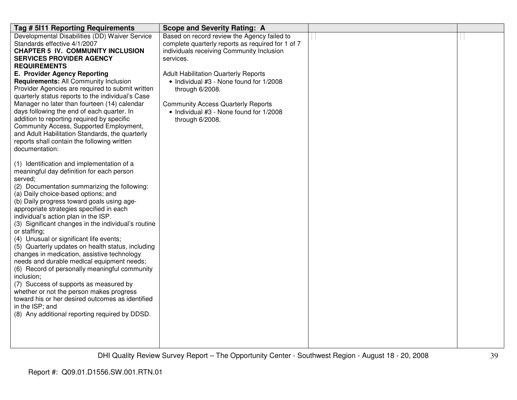| Tag # 5111 Reporting Requirements                                                        | <b>Scope and Severity Rating: A</b>               |  |
|------------------------------------------------------------------------------------------|---------------------------------------------------|--|
| Developmental Disabilities (DD) Waiver Service                                           | Based on record review the Agency failed to       |  |
| Standards effective 4/1/2007                                                             | complete quarterly reports as required for 1 of 7 |  |
| <b>CHAPTER 5 IV. COMMUNITY INCLUSION</b>                                                 | individuals receiving Community Inclusion         |  |
| <b>SERVICES PROVIDER AGENCY</b>                                                          | services.                                         |  |
| <b>REQUIREMENTS</b>                                                                      |                                                   |  |
| E. Provider Agency Reporting                                                             | <b>Adult Habilitation Quarterly Reports</b>       |  |
| <b>Requirements: All Community Inclusion</b>                                             | • Individual #3 - None found for 1/2008           |  |
| Provider Agencies are required to submit written                                         | through 6/2008.                                   |  |
| quarterly status reports to the individual's Case                                        |                                                   |  |
| Manager no later than fourteen (14) calendar                                             | <b>Community Access Quarterly Reports</b>         |  |
| days following the end of each quarter. In<br>addition to reporting required by specific | • Individual #3 - None found for 1/2008           |  |
| Community Access, Supported Employment,                                                  | through 6/2008.                                   |  |
| and Adult Habilitation Standards, the quarterly                                          |                                                   |  |
| reports shall contain the following written                                              |                                                   |  |
| documentation:                                                                           |                                                   |  |
|                                                                                          |                                                   |  |
| (1) Identification and implementation of a                                               |                                                   |  |
| meaningful day definition for each person                                                |                                                   |  |
| served;                                                                                  |                                                   |  |
| (2) Documentation summarizing the following:                                             |                                                   |  |
| (a) Daily choice-based options; and                                                      |                                                   |  |
| (b) Daily progress toward goals using age-                                               |                                                   |  |
| appropriate strategies specified in each                                                 |                                                   |  |
| individual's action plan in the ISP.                                                     |                                                   |  |
| (3) Significant changes in the individual's routine                                      |                                                   |  |
| or staffing;                                                                             |                                                   |  |
| (4) Unusual or significant life events;                                                  |                                                   |  |
| (5) Quarterly updates on health status, including                                        |                                                   |  |
| changes in medication, assistive technology                                              |                                                   |  |
| needs and durable medical equipment needs;                                               |                                                   |  |
| (6) Record of personally meaningful community<br>inclusion;                              |                                                   |  |
| (7) Success of supports as measured by                                                   |                                                   |  |
| whether or not the person makes progress                                                 |                                                   |  |
| toward his or her desired outcomes as identified                                         |                                                   |  |
| in the ISP; and                                                                          |                                                   |  |
| (8) Any additional reporting required by DDSD.                                           |                                                   |  |
|                                                                                          |                                                   |  |
|                                                                                          |                                                   |  |
|                                                                                          |                                                   |  |
|                                                                                          |                                                   |  |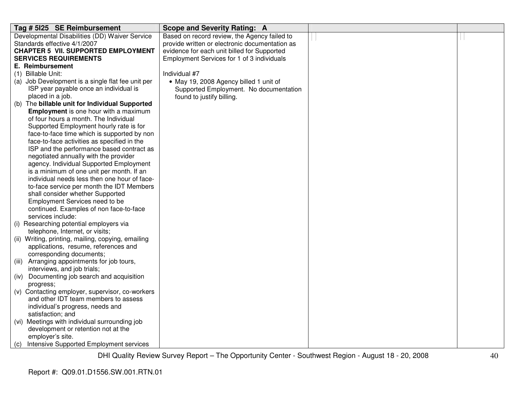| Tag # 5125 SE Reimbursement                                                                | <b>Scope and Severity Rating: A</b>            |  |
|--------------------------------------------------------------------------------------------|------------------------------------------------|--|
| Developmental Disabilities (DD) Waiver Service                                             | Based on record review, the Agency failed to   |  |
| Standards effective 4/1/2007                                                               | provide written or electronic documentation as |  |
| <b>CHAPTER 5 VII. SUPPORTED EMPLOYMENT</b>                                                 | evidence for each unit billed for Supported    |  |
| <b>SERVICES REQUIREMENTS</b>                                                               | Employment Services for 1 of 3 individuals     |  |
| E. Reimbursement                                                                           |                                                |  |
| (1) Billable Unit:                                                                         | Individual #7                                  |  |
| (a) Job Development is a single flat fee unit per                                          | • May 19, 2008 Agency billed 1 unit of         |  |
| ISP year payable once an individual is                                                     | Supported Employment. No documentation         |  |
| placed in a job.                                                                           | found to justify billing.                      |  |
| (b) The billable unit for Individual Supported                                             |                                                |  |
| <b>Employment</b> is one hour with a maximum                                               |                                                |  |
| of four hours a month. The Individual                                                      |                                                |  |
| Supported Employment hourly rate is for                                                    |                                                |  |
| face-to-face time which is supported by non                                                |                                                |  |
| face-to-face activities as specified in the                                                |                                                |  |
| ISP and the performance based contract as                                                  |                                                |  |
| negotiated annually with the provider                                                      |                                                |  |
| agency. Individual Supported Employment                                                    |                                                |  |
| is a minimum of one unit per month. If an                                                  |                                                |  |
| individual needs less then one hour of face-                                               |                                                |  |
| to-face service per month the IDT Members                                                  |                                                |  |
| shall consider whether Supported                                                           |                                                |  |
| Employment Services need to be                                                             |                                                |  |
| continued. Examples of non face-to-face                                                    |                                                |  |
| services include:                                                                          |                                                |  |
| (i) Researching potential employers via                                                    |                                                |  |
| telephone, Internet, or visits;                                                            |                                                |  |
| (ii) Writing, printing, mailing, copying, emailing<br>applications, resume, references and |                                                |  |
| corresponding documents;                                                                   |                                                |  |
| (iii) Arranging appointments for job tours,                                                |                                                |  |
| interviews, and job trials;                                                                |                                                |  |
| (iv) Documenting job search and acquisition                                                |                                                |  |
| progress;                                                                                  |                                                |  |
| (v) Contacting employer, supervisor, co-workers                                            |                                                |  |
| and other IDT team members to assess                                                       |                                                |  |
| individual's progress, needs and                                                           |                                                |  |
| satisfaction; and                                                                          |                                                |  |
| (vi) Meetings with individual surrounding job                                              |                                                |  |
| development or retention not at the                                                        |                                                |  |
| employer's site.                                                                           |                                                |  |
| (c) Intensive Supported Employment services                                                |                                                |  |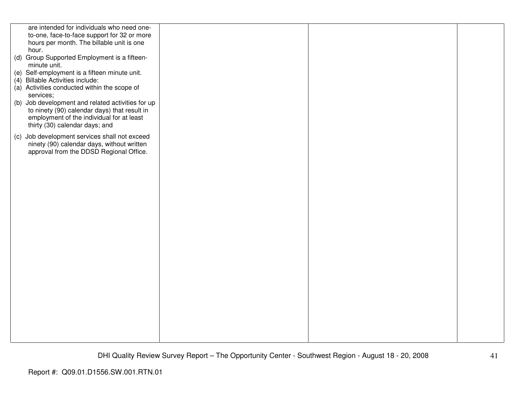| are intended for individuals who need one-                                                |  |  |
|-------------------------------------------------------------------------------------------|--|--|
| to-one, face-to-face support for 32 or more                                               |  |  |
| hours per month. The billable unit is one                                                 |  |  |
| hour.                                                                                     |  |  |
| (d) Group Supported Employment is a fifteen-                                              |  |  |
| minute unit.                                                                              |  |  |
| (e) Self-employment is a fifteen minute unit.                                             |  |  |
| (4) Billable Activities include:                                                          |  |  |
| (a) Activities conducted within the scope of                                              |  |  |
| services;                                                                                 |  |  |
| (b) Job development and related activities for up                                         |  |  |
| to ninety (90) calendar days) that result in<br>employment of the individual for at least |  |  |
| thirty (30) calendar days; and                                                            |  |  |
|                                                                                           |  |  |
| (c) Job development services shall not exceed                                             |  |  |
| ninety (90) calendar days, without written                                                |  |  |
| approval from the DDSD Regional Office.                                                   |  |  |
|                                                                                           |  |  |
|                                                                                           |  |  |
|                                                                                           |  |  |
|                                                                                           |  |  |
|                                                                                           |  |  |
|                                                                                           |  |  |
|                                                                                           |  |  |
|                                                                                           |  |  |
|                                                                                           |  |  |
|                                                                                           |  |  |
|                                                                                           |  |  |
|                                                                                           |  |  |
|                                                                                           |  |  |
|                                                                                           |  |  |
|                                                                                           |  |  |
|                                                                                           |  |  |
|                                                                                           |  |  |
|                                                                                           |  |  |
|                                                                                           |  |  |
|                                                                                           |  |  |
|                                                                                           |  |  |
|                                                                                           |  |  |
|                                                                                           |  |  |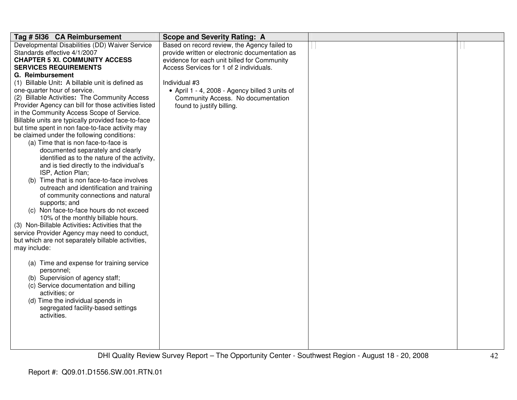| Tag # 5136 CA Reimbursement                                                            | <b>Scope and Severity Rating: A</b>            |  |
|----------------------------------------------------------------------------------------|------------------------------------------------|--|
| Developmental Disabilities (DD) Waiver Service                                         | Based on record review, the Agency failed to   |  |
| Standards effective 4/1/2007                                                           | provide written or electronic documentation as |  |
| <b>CHAPTER 5 XI. COMMUNITY ACCESS</b>                                                  | evidence for each unit billed for Community    |  |
| <b>SERVICES REQUIREMENTS</b>                                                           | Access Services for 1 of 2 individuals.        |  |
| G. Reimbursement                                                                       |                                                |  |
| (1) Billable Unit: A billable unit is defined as                                       | Individual #3                                  |  |
| one-quarter hour of service.                                                           | • April 1 - 4, 2008 - Agency billed 3 units of |  |
| (2) Billable Activities: The Community Access                                          | Community Access. No documentation             |  |
| Provider Agency can bill for those activities listed                                   | found to justify billing.                      |  |
| in the Community Access Scope of Service.                                              |                                                |  |
| Billable units are typically provided face-to-face                                     |                                                |  |
| but time spent in non face-to-face activity may                                        |                                                |  |
| be claimed under the following conditions:                                             |                                                |  |
| (a) Time that is non face-to-face is                                                   |                                                |  |
| documented separately and clearly                                                      |                                                |  |
| identified as to the nature of the activity,                                           |                                                |  |
| and is tied directly to the individual's                                               |                                                |  |
| ISP, Action Plan;                                                                      |                                                |  |
| (b) Time that is non face-to-face involves                                             |                                                |  |
| outreach and identification and training                                               |                                                |  |
| of community connections and natural                                                   |                                                |  |
| supports; and                                                                          |                                                |  |
| (c) Non face-to-face hours do not exceed                                               |                                                |  |
| 10% of the monthly billable hours.<br>(3) Non-Billable Activities: Activities that the |                                                |  |
|                                                                                        |                                                |  |
| service Provider Agency may need to conduct,                                           |                                                |  |
| but which are not separately billable activities,                                      |                                                |  |
| may include:                                                                           |                                                |  |
|                                                                                        |                                                |  |
| (a) Time and expense for training service<br>personnel;                                |                                                |  |
| (b) Supervision of agency staff;                                                       |                                                |  |
| (c) Service documentation and billing                                                  |                                                |  |
| activities; or                                                                         |                                                |  |
| (d) Time the individual spends in                                                      |                                                |  |
| segregated facility-based settings                                                     |                                                |  |
| activities.                                                                            |                                                |  |
|                                                                                        |                                                |  |
|                                                                                        |                                                |  |
|                                                                                        |                                                |  |
|                                                                                        |                                                |  |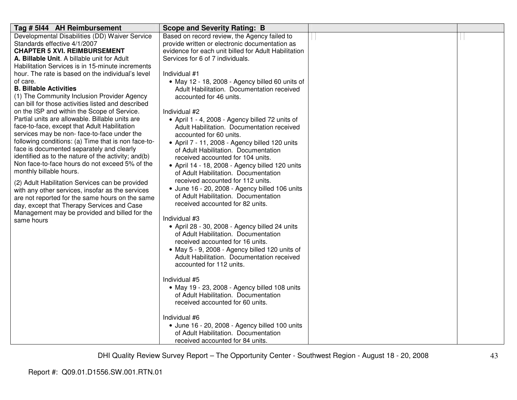| Tag # 5144 AH Reimbursement                                                                                                                                                                                                                                                                                                                                                                                                                                                                                                                                                                                                                                                                                                                                       | <b>Scope and Severity Rating: B</b>                                                                                                                                                                                                                                                                                                                                                                                                                                                                                                                                                                                                                                                   |  |
|-------------------------------------------------------------------------------------------------------------------------------------------------------------------------------------------------------------------------------------------------------------------------------------------------------------------------------------------------------------------------------------------------------------------------------------------------------------------------------------------------------------------------------------------------------------------------------------------------------------------------------------------------------------------------------------------------------------------------------------------------------------------|---------------------------------------------------------------------------------------------------------------------------------------------------------------------------------------------------------------------------------------------------------------------------------------------------------------------------------------------------------------------------------------------------------------------------------------------------------------------------------------------------------------------------------------------------------------------------------------------------------------------------------------------------------------------------------------|--|
| Developmental Disabilities (DD) Waiver Service<br>Standards effective 4/1/2007<br><b>CHAPTER 5 XVI. REIMBURSEMENT</b><br>A. Billable Unit. A billable unit for Adult<br>Habilitation Services is in 15-minute increments<br>hour. The rate is based on the individual's level<br>of care.<br><b>B. Billable Activities</b><br>(1) The Community Inclusion Provider Agency                                                                                                                                                                                                                                                                                                                                                                                         | Based on record review, the Agency failed to<br>provide written or electronic documentation as<br>evidence for each unit billed for Adult Habilitation<br>Services for 6 of 7 individuals.<br>Individual #1<br>• May 12 - 18, 2008 - Agency billed 60 units of<br>Adult Habilitation. Documentation received<br>accounted for 46 units.                                                                                                                                                                                                                                                                                                                                               |  |
| can bill for those activities listed and described<br>on the ISP and within the Scope of Service.<br>Partial units are allowable. Billable units are<br>face-to-face, except that Adult Habilitation<br>services may be non-face-to-face under the<br>following conditions: (a) Time that is non face-to-<br>face is documented separately and clearly<br>identified as to the nature of the activity; and(b)<br>Non face-to-face hours do not exceed 5% of the<br>monthly billable hours.<br>(2) Adult Habilitation Services can be provided<br>with any other services, insofar as the services<br>are not reported for the same hours on the same<br>day, except that Therapy Services and Case<br>Management may be provided and billed for the<br>same hours | Individual #2<br>• April 1 - 4, 2008 - Agency billed 72 units of<br>Adult Habilitation. Documentation received<br>accounted for 60 units.<br>• April 7 - 11, 2008 - Agency billed 120 units<br>of Adult Habilitation. Documentation<br>received accounted for 104 units.<br>• April 14 - 18, 2008 - Agency billed 120 units<br>of Adult Habilitation. Documentation<br>received accounted for 112 units.<br>· June 16 - 20, 2008 - Agency billed 106 units<br>of Adult Habilitation. Documentation<br>received accounted for 82 units.<br>Individual #3<br>• April 28 - 30, 2008 - Agency billed 24 units<br>of Adult Habilitation. Documentation<br>received accounted for 16 units. |  |
|                                                                                                                                                                                                                                                                                                                                                                                                                                                                                                                                                                                                                                                                                                                                                                   | • May 5 - 9, 2008 - Agency billed 120 units of<br>Adult Habilitation. Documentation received<br>accounted for 112 units.<br>Individual #5<br>• May 19 - 23, 2008 - Agency billed 108 units<br>of Adult Habilitation. Documentation<br>received accounted for 60 units.<br>Individual #6<br>· June 16 - 20, 2008 - Agency billed 100 units<br>of Adult Habilitation. Documentation<br>received accounted for 84 units.                                                                                                                                                                                                                                                                 |  |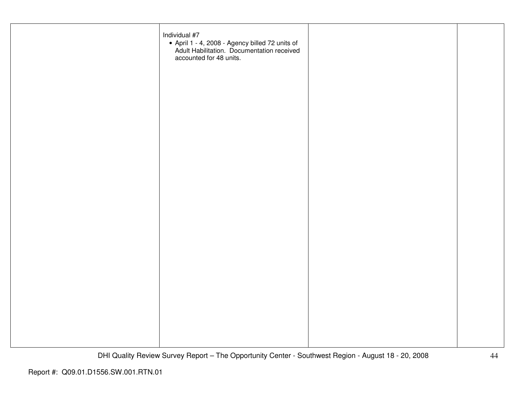| Individual #7<br>• April 1 - 4, 2008 - Agency billed 72 units of<br>Adult Habilitation. Documentation received<br>accounted for 48 units. |  |
|-------------------------------------------------------------------------------------------------------------------------------------------|--|
|                                                                                                                                           |  |
|                                                                                                                                           |  |
|                                                                                                                                           |  |
|                                                                                                                                           |  |
|                                                                                                                                           |  |
|                                                                                                                                           |  |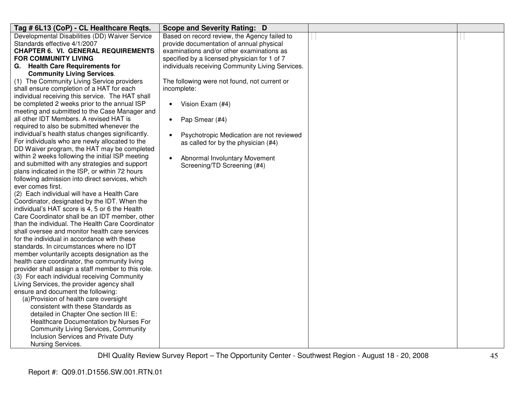| Tag # 6L13 (CoP) - CL Healthcare Reqts.                                                            | <b>Scope and Severity Rating: D</b>                   |  |
|----------------------------------------------------------------------------------------------------|-------------------------------------------------------|--|
| Developmental Disabilities (DD) Waiver Service                                                     | Based on record review, the Agency failed to          |  |
| Standards effective 4/1/2007                                                                       | provide documentation of annual physical              |  |
| <b>CHAPTER 6. VI. GENERAL REQUIREMENTS</b>                                                         | examinations and/or other examinations as             |  |
| FOR COMMUNITY LIVING                                                                               | specified by a licensed physician for 1 of 7          |  |
| G. Health Care Requirements for                                                                    | individuals receiving Community Living Services.      |  |
| <b>Community Living Services.</b>                                                                  |                                                       |  |
| (1) The Community Living Service providers                                                         | The following were not found, not current or          |  |
| shall ensure completion of a HAT for each                                                          | incomplete:                                           |  |
| individual receiving this service. The HAT shall                                                   |                                                       |  |
| be completed 2 weeks prior to the annual ISP                                                       | Vision Exam (#4)<br>$\bullet$                         |  |
| meeting and submitted to the Case Manager and                                                      |                                                       |  |
| all other IDT Members. A revised HAT is                                                            | Pap Smear (#4)<br>$\bullet$                           |  |
| required to also be submitted whenever the                                                         |                                                       |  |
| individual's health status changes significantly.                                                  | Psychotropic Medication are not reviewed<br>$\bullet$ |  |
| For individuals who are newly allocated to the                                                     | as called for by the physician (#4)                   |  |
| DD Waiver program, the HAT may be completed                                                        |                                                       |  |
| within 2 weeks following the initial ISP meeting                                                   | Abnormal Involuntary Movement<br>$\bullet$            |  |
| and submitted with any strategies and support                                                      | Screening/TD Screening (#4)                           |  |
| plans indicated in the ISP, or within 72 hours                                                     |                                                       |  |
| following admission into direct services, which                                                    |                                                       |  |
| ever comes first.                                                                                  |                                                       |  |
| (2) Each individual will have a Health Care                                                        |                                                       |  |
| Coordinator, designated by the IDT. When the                                                       |                                                       |  |
| individual's HAT score is 4, 5 or 6 the Health                                                     |                                                       |  |
| Care Coordinator shall be an IDT member, other<br>than the individual. The Health Care Coordinator |                                                       |  |
| shall oversee and monitor health care services                                                     |                                                       |  |
| for the individual in accordance with these                                                        |                                                       |  |
| standards. In circumstances where no IDT                                                           |                                                       |  |
| member voluntarily accepts designation as the                                                      |                                                       |  |
| health care coordinator, the community living                                                      |                                                       |  |
| provider shall assign a staff member to this role.                                                 |                                                       |  |
| (3) For each individual receiving Community                                                        |                                                       |  |
| Living Services, the provider agency shall                                                         |                                                       |  |
| ensure and document the following:                                                                 |                                                       |  |
| (a) Provision of health care oversight                                                             |                                                       |  |
| consistent with these Standards as                                                                 |                                                       |  |
| detailed in Chapter One section III E:                                                             |                                                       |  |
| Healthcare Documentation by Nurses For                                                             |                                                       |  |
| <b>Community Living Services, Community</b>                                                        |                                                       |  |
| Inclusion Services and Private Duty                                                                |                                                       |  |
| Nursing Services.                                                                                  |                                                       |  |
|                                                                                                    |                                                       |  |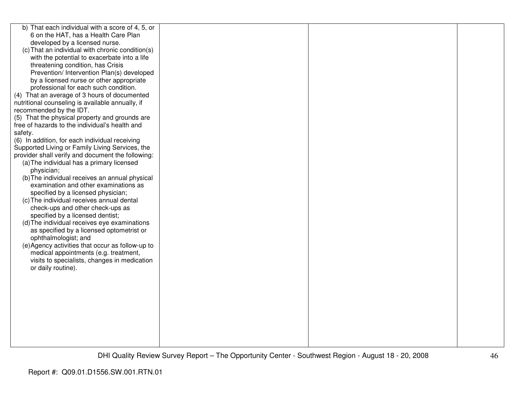| b) That each individual with a score of 4, 5, or  |  |  |
|---------------------------------------------------|--|--|
| 6 on the HAT, has a Health Care Plan              |  |  |
| developed by a licensed nurse.                    |  |  |
| (c) That an individual with chronic condition(s)  |  |  |
| with the potential to exacerbate into a life      |  |  |
| threatening condition, has Crisis                 |  |  |
| Prevention/ Intervention Plan(s) developed        |  |  |
| by a licensed nurse or other appropriate          |  |  |
| professional for each such condition.             |  |  |
| (4) That an average of 3 hours of documented      |  |  |
| nutritional counseling is available annually, if  |  |  |
| recommended by the IDT.                           |  |  |
| (5) That the physical property and grounds are    |  |  |
| free of hazards to the individual's health and    |  |  |
| safety.                                           |  |  |
| (6) In addition, for each individual receiving    |  |  |
| Supported Living or Family Living Services, the   |  |  |
| provider shall verify and document the following: |  |  |
| (a) The individual has a primary licensed         |  |  |
| physician;                                        |  |  |
| (b) The individual receives an annual physical    |  |  |
| examination and other examinations as             |  |  |
| specified by a licensed physician;                |  |  |
| (c) The individual receives annual dental         |  |  |
| check-ups and other check-ups as                  |  |  |
| specified by a licensed dentist;                  |  |  |
| (d) The individual receives eye examinations      |  |  |
| as specified by a licensed optometrist or         |  |  |
| ophthalmologist; and                              |  |  |
| (e) Agency activities that occur as follow-up to  |  |  |
| medical appointments (e.g. treatment,             |  |  |
| visits to specialists, changes in medication      |  |  |
| or daily routine).                                |  |  |
|                                                   |  |  |
|                                                   |  |  |
|                                                   |  |  |
|                                                   |  |  |
|                                                   |  |  |
|                                                   |  |  |
|                                                   |  |  |
|                                                   |  |  |
|                                                   |  |  |
|                                                   |  |  |
|                                                   |  |  |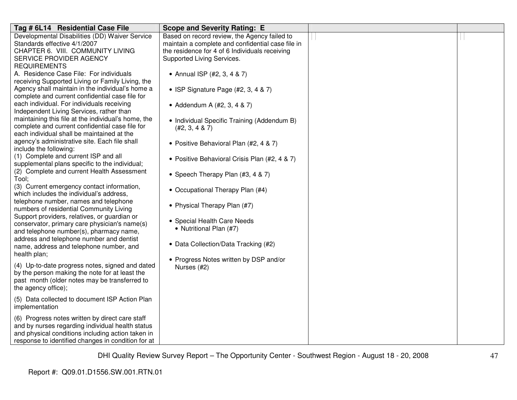| Tag # 6L14 Residential Case File                                                              | <b>Scope and Severity Rating: E</b>               |  |
|-----------------------------------------------------------------------------------------------|---------------------------------------------------|--|
| Developmental Disabilities (DD) Waiver Service                                                | Based on record review, the Agency failed to      |  |
| Standards effective 4/1/2007                                                                  | maintain a complete and confidential case file in |  |
| CHAPTER 6. VIII. COMMUNITY LIVING                                                             | the residence for 4 of 6 Individuals receiving    |  |
| SERVICE PROVIDER AGENCY                                                                       | Supported Living Services.                        |  |
| <b>REQUIREMENTS</b>                                                                           |                                                   |  |
| A. Residence Case File: For individuals                                                       | • Annual ISP (#2, 3, 4 & 7)                       |  |
| receiving Supported Living or Family Living, the                                              |                                                   |  |
| Agency shall maintain in the individual's home a                                              | • ISP Signature Page (#2, 3, 4 & 7)               |  |
| complete and current confidential case file for<br>each individual. For individuals receiving |                                                   |  |
| Independent Living Services, rather than                                                      | • Addendum A (#2, 3, 4 & 7)                       |  |
| maintaining this file at the individual's home, the                                           |                                                   |  |
| complete and current confidential case file for                                               | • Individual Specific Training (Addendum B)       |  |
| each individual shall be maintained at the                                                    | (#2, 3, 4 & 7)                                    |  |
| agency's administrative site. Each file shall                                                 |                                                   |  |
| include the following:                                                                        | • Positive Behavioral Plan (#2, 4 & 7)            |  |
| (1) Complete and current ISP and all                                                          |                                                   |  |
| supplemental plans specific to the individual;                                                | • Positive Behavioral Crisis Plan (#2, 4 & 7)     |  |
| (2) Complete and current Health Assessment                                                    |                                                   |  |
| Tool;                                                                                         | • Speech Therapy Plan (#3, 4 & 7)                 |  |
| (3) Current emergency contact information,                                                    |                                                   |  |
| which includes the individual's address,                                                      | • Occupational Therapy Plan (#4)                  |  |
| telephone number, names and telephone                                                         |                                                   |  |
| numbers of residential Community Living                                                       | • Physical Therapy Plan (#7)                      |  |
| Support providers, relatives, or guardian or                                                  |                                                   |  |
| conservator, primary care physician's name(s)                                                 | • Special Health Care Needs                       |  |
| and telephone number(s), pharmacy name,                                                       | • Nutritional Plan (#7)                           |  |
| address and telephone number and dentist                                                      |                                                   |  |
| name, address and telephone number, and                                                       | • Data Collection/Data Tracking (#2)              |  |
| health plan;                                                                                  |                                                   |  |
|                                                                                               | • Progress Notes written by DSP and/or            |  |
| (4) Up-to-date progress notes, signed and dated                                               | Nurses (#2)                                       |  |
| by the person making the note for at least the                                                |                                                   |  |
| past month (older notes may be transferred to<br>the agency office);                          |                                                   |  |
|                                                                                               |                                                   |  |
| (5) Data collected to document ISP Action Plan                                                |                                                   |  |
| implementation                                                                                |                                                   |  |
| (6) Progress notes written by direct care staff                                               |                                                   |  |
| and by nurses regarding individual health status                                              |                                                   |  |
| and physical conditions including action taken in                                             |                                                   |  |
| response to identified changes in condition for at                                            |                                                   |  |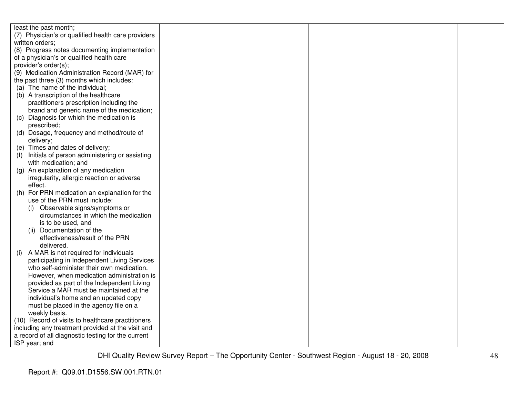| least the past month;                                |  |  |
|------------------------------------------------------|--|--|
| (7) Physician's or qualified health care providers   |  |  |
| written orders;                                      |  |  |
| (8) Progress notes documenting implementation        |  |  |
| of a physician's or qualified health care            |  |  |
| provider's order(s);                                 |  |  |
| (9) Medication Administration Record (MAR) for       |  |  |
| the past three (3) months which includes:            |  |  |
| (a) The name of the individual;                      |  |  |
| (b) A transcription of the healthcare                |  |  |
| practitioners prescription including the             |  |  |
| brand and generic name of the medication;            |  |  |
| (c) Diagnosis for which the medication is            |  |  |
| prescribed;                                          |  |  |
| (d) Dosage, frequency and method/route of            |  |  |
| delivery;                                            |  |  |
| (e) Times and dates of delivery;                     |  |  |
| Initials of person administering or assisting<br>(1) |  |  |
| with medication; and                                 |  |  |
| (g) An explanation of any medication                 |  |  |
| irregularity, allergic reaction or adverse           |  |  |
| effect.                                              |  |  |
| For PRN medication an explanation for the<br>(h)     |  |  |
| use of the PRN must include:                         |  |  |
| Observable signs/symptoms or<br>(i)                  |  |  |
| circumstances in which the medication                |  |  |
| is to be used, and                                   |  |  |
| Documentation of the<br>(ii)                         |  |  |
| effectiveness/result of the PRN                      |  |  |
| delivered.                                           |  |  |
| A MAR is not required for individuals<br>(i)         |  |  |
| participating in Independent Living Services         |  |  |
| who self-administer their own medication.            |  |  |
| However, when medication administration is           |  |  |
| provided as part of the Independent Living           |  |  |
| Service a MAR must be maintained at the              |  |  |
| individual's home and an updated copy                |  |  |
| must be placed in the agency file on a               |  |  |
| weekly basis.                                        |  |  |
| (10) Record of visits to healthcare practitioners    |  |  |
| including any treatment provided at the visit and    |  |  |
| a record of all diagnostic testing for the current   |  |  |
| ISP year; and                                        |  |  |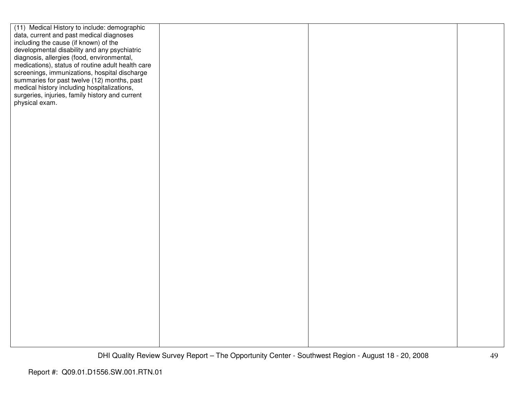| (11) Medical History to include: demographic      |  |  |
|---------------------------------------------------|--|--|
| data, current and past medical diagnoses          |  |  |
| including the cause (if known) of the             |  |  |
| developmental disability and any psychiatric      |  |  |
| diagnosis, allergies (food, environmental,        |  |  |
| medications), status of routine adult health care |  |  |
| screenings, immunizations, hospital discharge     |  |  |
| summaries for past twelve (12) months, past       |  |  |
| medical history including hospitalizations,       |  |  |
| surgeries, injuries, family history and current   |  |  |
| physical exam.                                    |  |  |
|                                                   |  |  |
|                                                   |  |  |
|                                                   |  |  |
|                                                   |  |  |
|                                                   |  |  |
|                                                   |  |  |
|                                                   |  |  |
|                                                   |  |  |
|                                                   |  |  |
|                                                   |  |  |
|                                                   |  |  |
|                                                   |  |  |
|                                                   |  |  |
|                                                   |  |  |
|                                                   |  |  |
|                                                   |  |  |
|                                                   |  |  |
|                                                   |  |  |
|                                                   |  |  |
|                                                   |  |  |
|                                                   |  |  |
|                                                   |  |  |
|                                                   |  |  |
|                                                   |  |  |
|                                                   |  |  |
|                                                   |  |  |
|                                                   |  |  |
|                                                   |  |  |
|                                                   |  |  |
|                                                   |  |  |
|                                                   |  |  |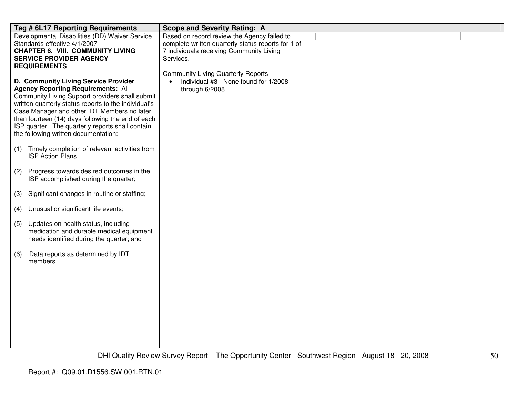|     | Tag # 6L17 Reporting Requirements                    | <b>Scope and Severity Rating: A</b>                                                             |  |
|-----|------------------------------------------------------|-------------------------------------------------------------------------------------------------|--|
|     | Developmental Disabilities (DD) Waiver Service       | Based on record review the Agency failed to                                                     |  |
|     | Standards effective 4/1/2007                         | complete written quarterly status reports for 1 of                                              |  |
|     | <b>CHAPTER 6. VIII. COMMUNITY LIVING</b>             | 7 individuals receiving Community Living                                                        |  |
|     | <b>SERVICE PROVIDER AGENCY</b>                       | Services.                                                                                       |  |
|     | <b>REQUIREMENTS</b>                                  |                                                                                                 |  |
|     | D. Community Living Service Provider                 | <b>Community Living Quarterly Reports</b><br>Individual #3 - None found for 1/2008<br>$\bullet$ |  |
|     | <b>Agency Reporting Requirements: All</b>            | through 6/2008.                                                                                 |  |
|     | Community Living Support providers shall submit      |                                                                                                 |  |
|     | written quarterly status reports to the individual's |                                                                                                 |  |
|     | Case Manager and other IDT Members no later          |                                                                                                 |  |
|     | than fourteen (14) days following the end of each    |                                                                                                 |  |
|     | ISP quarter. The quarterly reports shall contain     |                                                                                                 |  |
|     | the following written documentation:                 |                                                                                                 |  |
|     | Timely completion of relevant activities from        |                                                                                                 |  |
| (1) | <b>ISP Action Plans</b>                              |                                                                                                 |  |
|     |                                                      |                                                                                                 |  |
| (2) | Progress towards desired outcomes in the             |                                                                                                 |  |
|     | ISP accomplished during the quarter;                 |                                                                                                 |  |
|     |                                                      |                                                                                                 |  |
| (3) | Significant changes in routine or staffing;          |                                                                                                 |  |
| (4) | Unusual or significant life events;                  |                                                                                                 |  |
|     |                                                      |                                                                                                 |  |
| (5) | Updates on health status, including                  |                                                                                                 |  |
|     | medication and durable medical equipment             |                                                                                                 |  |
|     | needs identified during the quarter; and             |                                                                                                 |  |
| (6) | Data reports as determined by IDT                    |                                                                                                 |  |
|     | members.                                             |                                                                                                 |  |
|     |                                                      |                                                                                                 |  |
|     |                                                      |                                                                                                 |  |
|     |                                                      |                                                                                                 |  |
|     |                                                      |                                                                                                 |  |
|     |                                                      |                                                                                                 |  |
|     |                                                      |                                                                                                 |  |
|     |                                                      |                                                                                                 |  |
|     |                                                      |                                                                                                 |  |
|     |                                                      |                                                                                                 |  |
|     |                                                      |                                                                                                 |  |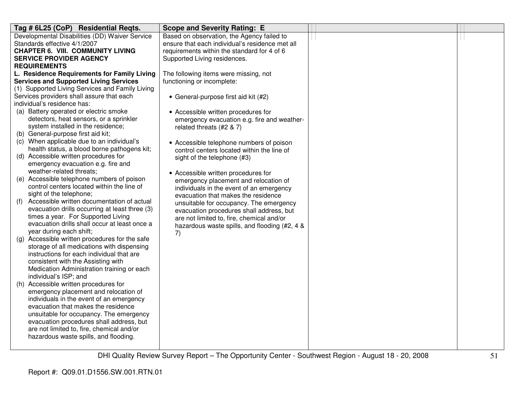| Tag # 6L25 (CoP) Residential Reqts.                                                  | <b>Scope and Severity Rating: E</b>                                             |  |
|--------------------------------------------------------------------------------------|---------------------------------------------------------------------------------|--|
| Developmental Disabilities (DD) Waiver Service                                       | Based on observation, the Agency failed to                                      |  |
| Standards effective 4/1/2007                                                         | ensure that each individual's residence met all                                 |  |
| <b>CHAPTER 6. VIII. COMMUNITY LIVING</b>                                             | requirements within the standard for 4 of 6                                     |  |
| <b>SERVICE PROVIDER AGENCY</b>                                                       | Supported Living residences.                                                    |  |
| <b>REQUIREMENTS</b>                                                                  |                                                                                 |  |
| L. Residence Requirements for Family Living                                          | The following items were missing, not                                           |  |
| <b>Services and Supported Living Services</b>                                        | functioning or incomplete:                                                      |  |
| (1) Supported Living Services and Family Living                                      |                                                                                 |  |
| Services providers shall assure that each                                            | • General-purpose first aid kit (#2)                                            |  |
| individual's residence has:                                                          |                                                                                 |  |
| (a) Battery operated or electric smoke                                               | • Accessible written procedures for                                             |  |
| detectors, heat sensors, or a sprinkler                                              | emergency evacuation e.g. fire and weather-                                     |  |
| system installed in the residence;                                                   | related threats (#2 & 7)                                                        |  |
| (b) General-purpose first aid kit;                                                   |                                                                                 |  |
| (c) When applicable due to an individual's                                           | • Accessible telephone numbers of poison                                        |  |
| health status, a blood borne pathogens kit;<br>(d) Accessible written procedures for | control centers located within the line of                                      |  |
| emergency evacuation e.g. fire and                                                   | sight of the telephone (#3)                                                     |  |
| weather-related threats;                                                             |                                                                                 |  |
| (e) Accessible telephone numbers of poison                                           | • Accessible written procedures for                                             |  |
| control centers located within the line of                                           | emergency placement and relocation of                                           |  |
| sight of the telephone;                                                              | individuals in the event of an emergency<br>evacuation that makes the residence |  |
| Accessible written documentation of actual<br>(f)                                    | unsuitable for occupancy. The emergency                                         |  |
| evacuation drills occurring at least three (3)                                       | evacuation procedures shall address, but                                        |  |
| times a year. For Supported Living                                                   | are not limited to, fire, chemical and/or                                       |  |
| evacuation drills shall occur at least once a                                        | hazardous waste spills, and flooding (#2, 4 &                                   |  |
| year during each shift;                                                              | 7)                                                                              |  |
| (g) Accessible written procedures for the safe                                       |                                                                                 |  |
| storage of all medications with dispensing                                           |                                                                                 |  |
| instructions for each individual that are                                            |                                                                                 |  |
| consistent with the Assisting with                                                   |                                                                                 |  |
| Medication Administration training or each                                           |                                                                                 |  |
| individual's ISP; and                                                                |                                                                                 |  |
| (h) Accessible written procedures for                                                |                                                                                 |  |
| emergency placement and relocation of                                                |                                                                                 |  |
| individuals in the event of an emergency                                             |                                                                                 |  |
| evacuation that makes the residence                                                  |                                                                                 |  |
| unsuitable for occupancy. The emergency                                              |                                                                                 |  |
| evacuation procedures shall address, but                                             |                                                                                 |  |
| are not limited to, fire, chemical and/or                                            |                                                                                 |  |
| hazardous waste spills, and flooding.                                                |                                                                                 |  |
|                                                                                      |                                                                                 |  |